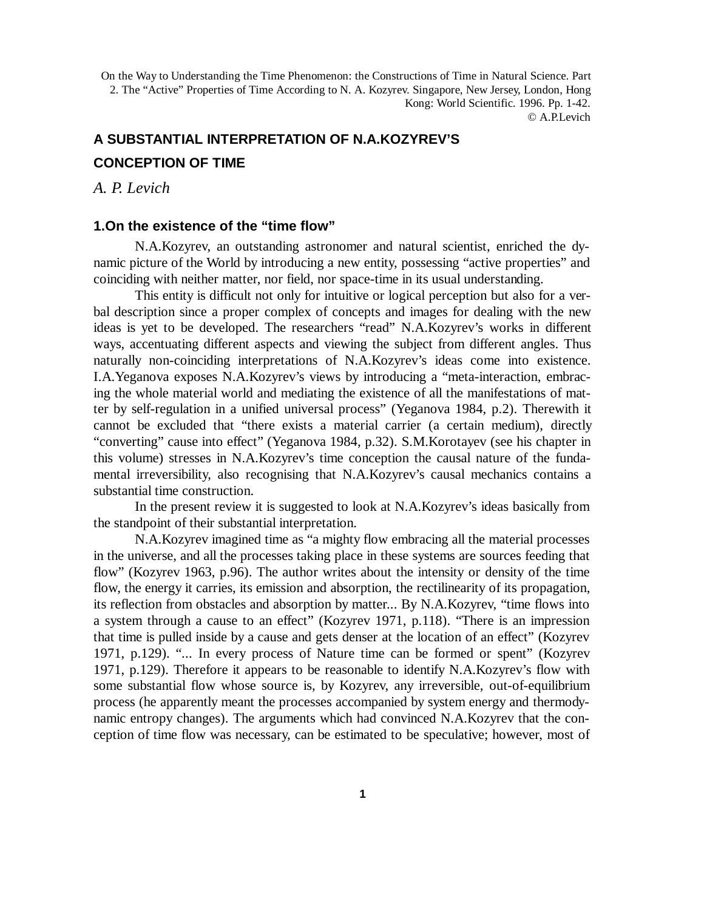On the Way to Understanding the Time Phenomenon: the Constructions of Time in Natural Science. Part 2. The "Active" Properties of Time According to N. A. Kozyrev. Singapore, New Jersey, London, Hong Kong: World Scientific. 1996. Pp. 1-42. © A.P.Levich

# **A SUBSTANTIAL INTERPRETATION OF N.A.KOZYREV'S CONCEPTION OF TIME**

*A. P. Levich*

#### **1.On the existence of the "time flow"**

N.A.Kozyrev, an outstanding astronomer and natural scientist, enriched the dynamic picture of the World by introducing a new entity, possessing "active properties" and coinciding with neither matter, nor field, nor space-time in its usual understanding.

This entity is difficult not only for intuitive or logical perception but also for a verbal description since a proper complex of concepts and images for dealing with the new ideas is yet to be developed. The researchers "read" N.A.Kozyrev's works in different ways, accentuating different aspects and viewing the subject from different angles. Thus naturally non-coinciding interpretations of N.A.Kozyrev's ideas come into existence. I.A.Yeganova exposes N.A.Kozyrev's views by introducing a "meta-interaction, embracing the whole material world and mediating the existence of all the manifestations of matter by self-regulation in a unified universal process" (Yeganova 1984, p.2). Therewith it cannot be excluded that "there exists a material carrier (a certain medium), directly "converting" cause into effect" (Yeganova 1984, p.32). S.M.Korotayev (see his chapter in this volume) stresses in N.A.Kozyrev's time conception the causal nature of the fundamental irreversibility, also recognising that N.A.Kozyrev's causal mechanics contains a substantial time construction.

In the present review it is suggested to look at N.A.Kozyrev's ideas basically from the standpoint of their substantial interpretation.

N.A.Kozyrev imagined time as "a mighty flow embracing all the material processes in the universe, and all the processes taking place in these systems are sources feeding that flow" (Kozyrev 1963, p.96). The author writes about the intensity or density of the time flow, the energy it carries, its emission and absorption, the rectilinearity of its propagation, its reflection from obstacles and absorption by matter... By N.A.Kozyrev, "time flows into a system through a cause to an effect" (Kozyrev 1971, p.118). "There is an impression that time is pulled inside by a cause and gets denser at the location of an effect" (Kozyrev 1971, p.129). "... In every process of Nature time can be formed or spent" (Kozyrev 1971, p.129). Therefore it appears to be reasonable to identify N.A.Kozyrev's flow with some substantial flow whose source is, by Kozyrev, any irreversible, out-of-equilibrium process (he apparently meant the processes accompanied by system energy and thermodynamic entropy changes). The arguments which had convinced N.A.Kozyrev that the conception of time flow was necessary, can be estimated to be speculative; however, most of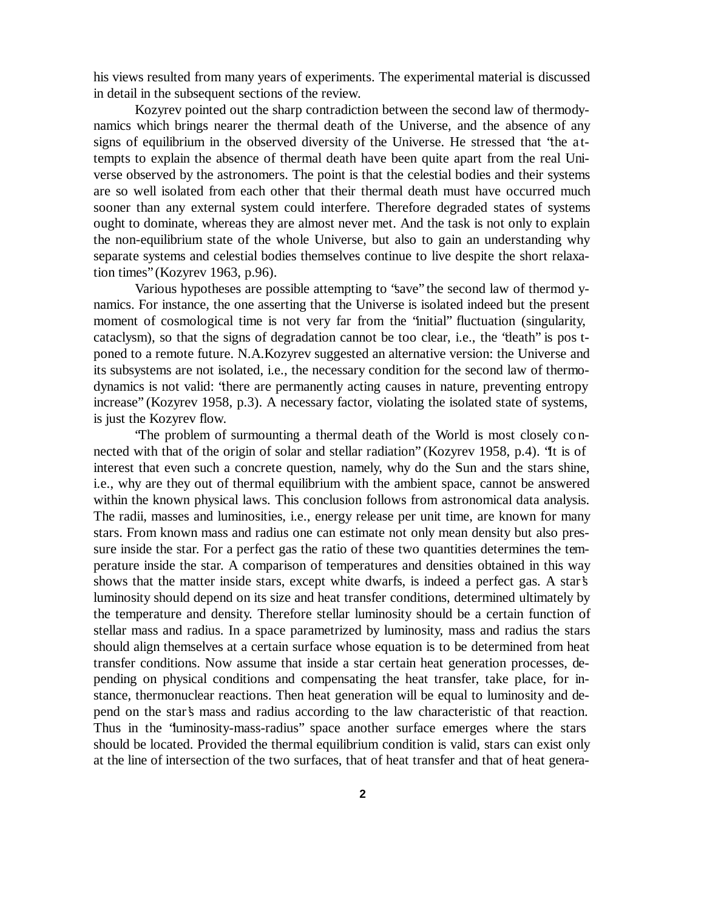his views resulted from many years of experiments. The experimental material is discussed in detail in the subsequent sections of the review.

Kozyrev pointed out the sharp contradiction between the second law of thermodynamics which brings nearer the thermal death of the Universe, and the absence of any signs of equilibrium in the observed diversity of the Universe. He stressed that "the a ttempts to explain the absence of thermal death have been quite apart from the real Universe observed by the astronomers. The point is that the celestial bodies and their systems are so well isolated from each other that their thermal death must have occurred much sooner than any external system could interfere. Therefore degraded states of systems ought to dominate, whereas they are almost never met. And the task is not only to explain the non-equilibrium state of the whole Universe, but also to gain an understanding why separate systems and celestial bodies themselves continue to live despite the short relaxation times" (Kozyrev 1963, p.96).

Various hypotheses are possible attempting to "save" the second law of thermod ynamics. For instance, the one asserting that the Universe is isolated indeed but the present moment of cosmological time is not very far from the "initial" fluctuation (singularity, cataclysm), so that the signs of degradation cannot be too clear, i.e., the "death" is pos tponed to a remote future. N.A.Kozyrev suggested an alternative version: the Universe and its subsystems are not isolated, i.e., the necessary condition for the second law of thermodynamics is not valid: "there are permanently acting causes in nature, preventing entropy increase" (Kozyrev 1958, p.3). A necessary factor, violating the isolated state of systems, is just the Kozyrev flow.

"The problem of surmounting a thermal death of the World is most closely co nnected with that of the origin of solar and stellar radiation" (Kozyrev 1958, p.4). "It is of interest that even such a concrete question, namely, why do the Sun and the stars shine, i.e., why are they out of thermal equilibrium with the ambient space, cannot be answered within the known physical laws. This conclusion follows from astronomical data analysis. The radii, masses and luminosities, i.e., energy release per unit time, are known for many stars. From known mass and radius one can estimate not only mean density but also pressure inside the star. For a perfect gas the ratio of these two quantities determines the temperature inside the star. A comparison of temperatures and densities obtained in this way shows that the matter inside stars, except white dwarfs, is indeed a perfect gas. A star's luminosity should depend on its size and heat transfer conditions, determined ultimately by the temperature and density. Therefore stellar luminosity should be a certain function of stellar mass and radius. In a space parametrized by luminosity, mass and radius the stars should align themselves at a certain surface whose equation is to be determined from heat transfer conditions. Now assume that inside a star certain heat generation processes, depending on physical conditions and compensating the heat transfer, take place, for instance, thermonuclear reactions. Then heat generation will be equal to luminosity and depend on the star's mass and radius according to the law characteristic of that reaction. Thus in the "luminosity-mass-radius" space another surface emerges where the stars should be located. Provided the thermal equilibrium condition is valid, stars can exist only at the line of intersection of the two surfaces, that of heat transfer and that of heat genera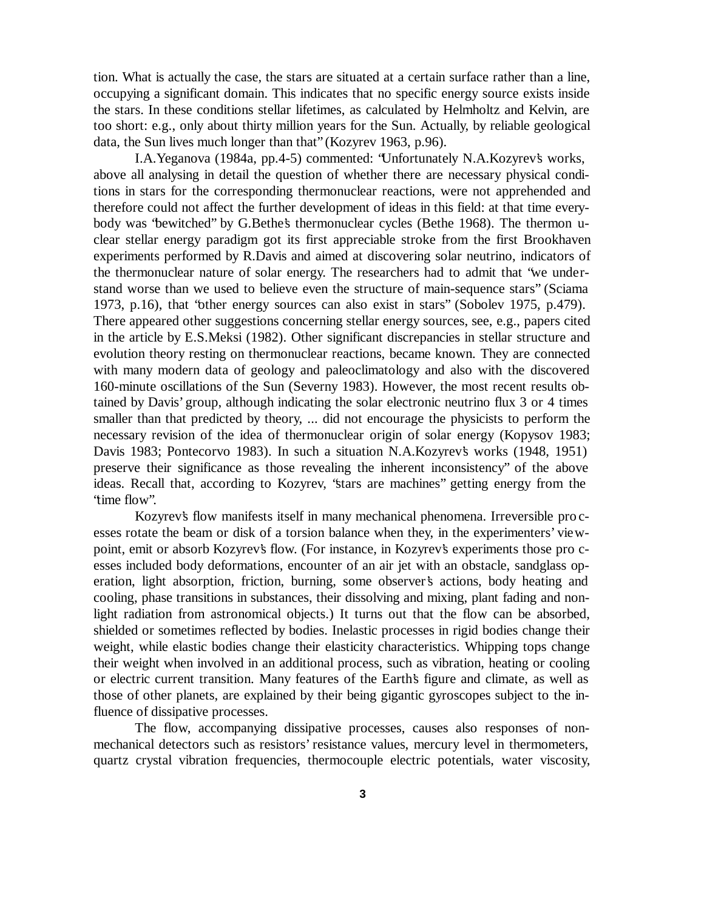tion. What is actually the case, the stars are situated at a certain surface rather than a line, occupying a significant domain. This indicates that no specific energy source exists inside the stars. In these conditions stellar lifetimes, as calculated by Helmholtz and Kelvin, are too short: e.g., only about thirty million years for the Sun. Actually, by reliable geological data, the Sun lives much longer than that" (Kozyrev 1963, p.96).

I.A.Yeganova (1984a, pp.4-5) commented: "Unfortunately N.A.Kozyrev's works, above all analysing in detail the question of whether there are necessary physical conditions in stars for the corresponding thermonuclear reactions, were not apprehended and therefore could not affect the further development of ideas in this field: at that time everybody was "bewitched" by G.Bethe's thermonuclear cycles (Bethe 1968). The thermon uclear stellar energy paradigm got its first appreciable stroke from the first Brookhaven experiments performed by R.Davis and aimed at discovering solar neutrino, indicators of the thermonuclear nature of solar energy. The researchers had to admit that "we understand worse than we used to believe even the structure of main-sequence stars" (Sciama 1973, p.16), that "other energy sources can also exist in stars" (Sobolev 1975, p.479). There appeared other suggestions concerning stellar energy sources, see, e.g., papers cited in the article by E.S.Meksi (1982). Other significant discrepancies in stellar structure and evolution theory resting on thermonuclear reactions, became known. They are connected with many modern data of geology and paleoclimatology and also with the discovered 160-minute oscillations of the Sun (Severny 1983). However, the most recent results obtained by Davis' group, although indicating the solar electronic neutrino flux 3 or 4 times smaller than that predicted by theory, ... did not encourage the physicists to perform the necessary revision of the idea of thermonuclear origin of solar energy (Kopysov 1983; Davis 1983; Pontecorvo 1983). In such a situation N.A.Kozyrev's works (1948, 1951) preserve their significance as those revealing the inherent inconsistency" of the above ideas. Recall that, according to Kozyrev, "stars are machines" getting energy from the "time flow".

Kozyrev's flow manifests itself in many mechanical phenomena. Irreversible pro cesses rotate the beam or disk of a torsion balance when they, in the experimenters' viewpoint, emit or absorb Kozyrev's flow. (For instance, in Kozyrev's experiments those pro cesses included body deformations, encounter of an air jet with an obstacle, sandglass operation, light absorption, friction, burning, some observer's actions, body heating and cooling, phase transitions in substances, their dissolving and mixing, plant fading and nonlight radiation from astronomical objects.) It turns out that the flow can be absorbed, shielded or sometimes reflected by bodies. Inelastic processes in rigid bodies change their weight, while elastic bodies change their elasticity characteristics. Whipping tops change their weight when involved in an additional process, such as vibration, heating or cooling or electric current transition. Many features of the Earth's figure and climate, as well as those of other planets, are explained by their being gigantic gyroscopes subject to the influence of dissipative processes.

The flow, accompanying dissipative processes, causes also responses of nonmechanical detectors such as resistors' resistance values, mercury level in thermometers, quartz crystal vibration frequencies, thermocouple electric potentials, water viscosity,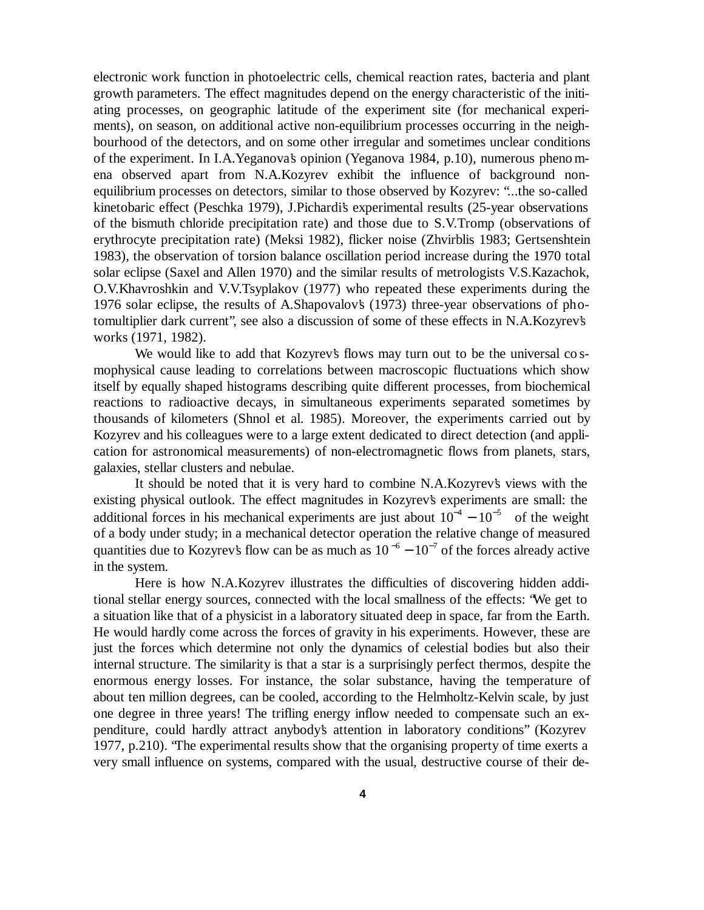electronic work function in photoelectric cells, chemical reaction rates, bacteria and plant growth parameters. The effect magnitudes depend on the energy characteristic of the initiating processes, on geographic latitude of the experiment site (for mechanical experiments), on season, on additional active non-equilibrium processes occurring in the neighbourhood of the detectors, and on some other irregular and sometimes unclear conditions of the experiment. In I.A.Yeganova's opinion (Yeganova 1984, p.10), numerous pheno mena observed apart from N.A.Kozyrev exhibit the influence of background nonequilibrium processes on detectors, similar to those observed by Kozyrev: "...the so-called kinetobaric effect (Peschka 1979), J.Pichardi's experimental results (25-year observations of the bismuth chloride precipitation rate) and those due to S.V.Tromp (observations of erythrocyte precipitation rate) (Meksi 1982), flicker noise (Zhvirblis 1983; Gertsenshtein 1983), the observation of torsion balance oscillation period increase during the 1970 total solar eclipse (Saxel and Allen 1970) and the similar results of metrologists V.S.Kazachok, O.V.Khavroshkin and V.V.Tsyplakov (1977) who repeated these experiments during the 1976 solar eclipse, the results of A.Shapovalov's (1973) three-year observations of photomultiplier dark current", see also a discussion of some of these effects in N.A.Kozyrev's works (1971, 1982).

We would like to add that Kozyrev's flows may turn out to be the universal co smophysical cause leading to correlations between macroscopic fluctuations which show itself by equally shaped histograms describing quite different processes, from biochemical reactions to radioactive decays, in simultaneous experiments separated sometimes by thousands of kilometers (Shnol et al. 1985). Moreover, the experiments carried out by Kozyrev and his colleagues were to a large extent dedicated to direct detection (and application for astronomical measurements) of non-electromagnetic flows from planets, stars, galaxies, stellar clusters and nebulae.

It should be noted that it is very hard to combine N.A.Kozyrev's views with the existing physical outlook. The effect magnitudes in Kozyrev's experiments are small: the additional forces in his mechanical experiments are just about  $10^{-4} - 10^{-5}$  of the weight of a body under study; in a mechanical detector operation the relative change of measured quantities due to Kozyrev's flow can be as much as  $10^{-6} - 10^{-7}$  of the forces already active in the system.

Here is how N.A.Kozyrev illustrates the difficulties of discovering hidden additional stellar energy sources, connected with the local smallness of the effects: "We get to a situation like that of a physicist in a laboratory situated deep in space, far from the Earth. He would hardly come across the forces of gravity in his experiments. However, these are just the forces which determine not only the dynamics of celestial bodies but also their internal structure. The similarity is that a star is a surprisingly perfect thermos, despite the enormous energy losses. For instance, the solar substance, having the temperature of about ten million degrees, can be cooled, according to the Helmholtz-Kelvin scale, by just one degree in three years! The trifling energy inflow needed to compensate such an expenditure, could hardly attract anybody's attention in laboratory conditions" (Kozyrev 1977, p.210). "The experimental results show that the organising property of time exerts a very small influence on systems, compared with the usual, destructive course of their de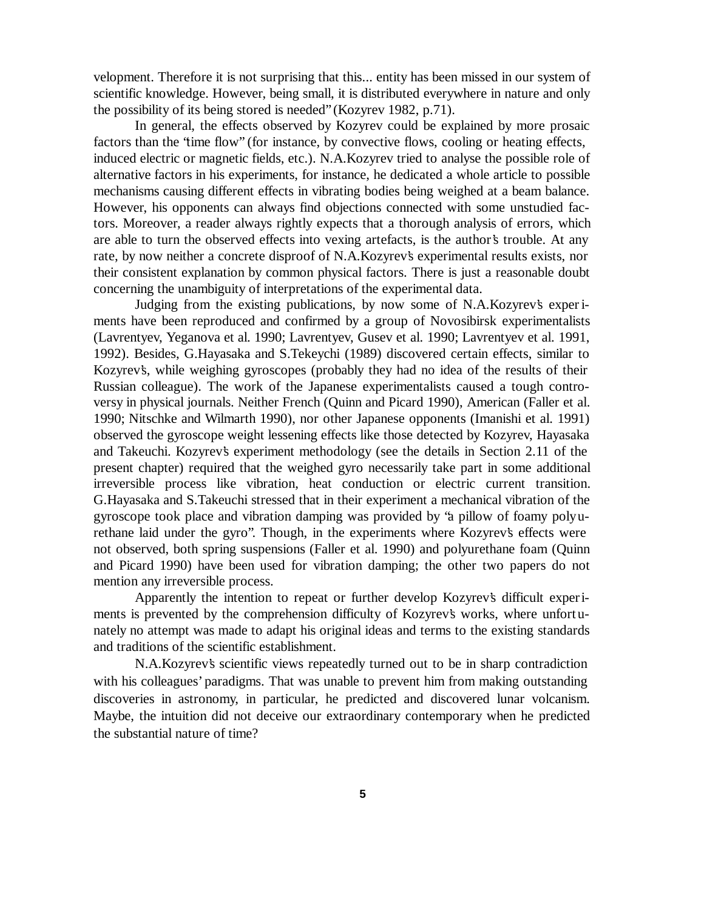velopment. Therefore it is not surprising that this... entity has been missed in our system of scientific knowledge. However, being small, it is distributed everywhere in nature and only the possibility of its being stored is needed" (Kozyrev 1982, p.71).

In general, the effects observed by Kozyrev could be explained by more prosaic factors than the "time flow" (for instance, by convective flows, cooling or heating effects, induced electric or magnetic fields, etc.). N.A.Kozyrev tried to analyse the possible role of alternative factors in his experiments, for instance, he dedicated a whole article to possible mechanisms causing different effects in vibrating bodies being weighed at a beam balance. However, his opponents can always find objections connected with some unstudied factors. Moreover, a reader always rightly expects that a thorough analysis of errors, which are able to turn the observed effects into vexing artefacts, is the author's trouble. At any rate, by now neither a concrete disproof of N.A.Kozyrev's experimental results exists, nor their consistent explanation by common physical factors. There is just a reasonable doubt concerning the unambiguity of interpretations of the experimental data.

Judging from the existing publications, by now some of N.A.Kozyrev's experiments have been reproduced and confirmed by a group of Novosibirsk experimentalists (Lavrentyev, Yeganova et al. 1990; Lavrentyev, Gusev et al. 1990; Lavrentyev et al. 1991, 1992). Besides, G.Hayasaka and S.Tekeychi (1989) discovered certain effects, similar to Kozyrev's, while weighing gyroscopes (probably they had no idea of the results of their Russian colleague). The work of the Japanese experimentalists caused a tough controversy in physical journals. Neither French (Quinn and Picard 1990), American (Faller et al. 1990; Nitschke and Wilmarth 1990), nor other Japanese opponents (Imanishi et al. 1991) observed the gyroscope weight lessening effects like those detected by Kozyrev, Hayasaka and Takeuchi. Kozyrev's experiment methodology (see the details in Section 2.11 of the present chapter) required that the weighed gyro necessarily take part in some additional irreversible process like vibration, heat conduction or electric current transition. G.Hayasaka and S.Takeuchi stressed that in their experiment a mechanical vibration of the gyroscope took place and vibration damping was provided by "a pillow of foamy polyurethane laid under the gyro". Though, in the experiments where Kozyrev's effects were not observed, both spring suspensions (Faller et al. 1990) and polyurethane foam (Quinn and Picard 1990) have been used for vibration damping; the other two papers do not mention any irreversible process.

Apparently the intention to repeat or further develop Kozyrev's difficult experiments is prevented by the comprehension difficulty of Kozyrev's works, where unfort unately no attempt was made to adapt his original ideas and terms to the existing standards and traditions of the scientific establishment.

N.A.Kozyrev's scientific views repeatedly turned out to be in sharp contradiction with his colleagues' paradigms. That was unable to prevent him from making outstanding discoveries in astronomy, in particular, he predicted and discovered lunar volcanism. Maybe, the intuition did not deceive our extraordinary contemporary when he predicted the substantial nature of time?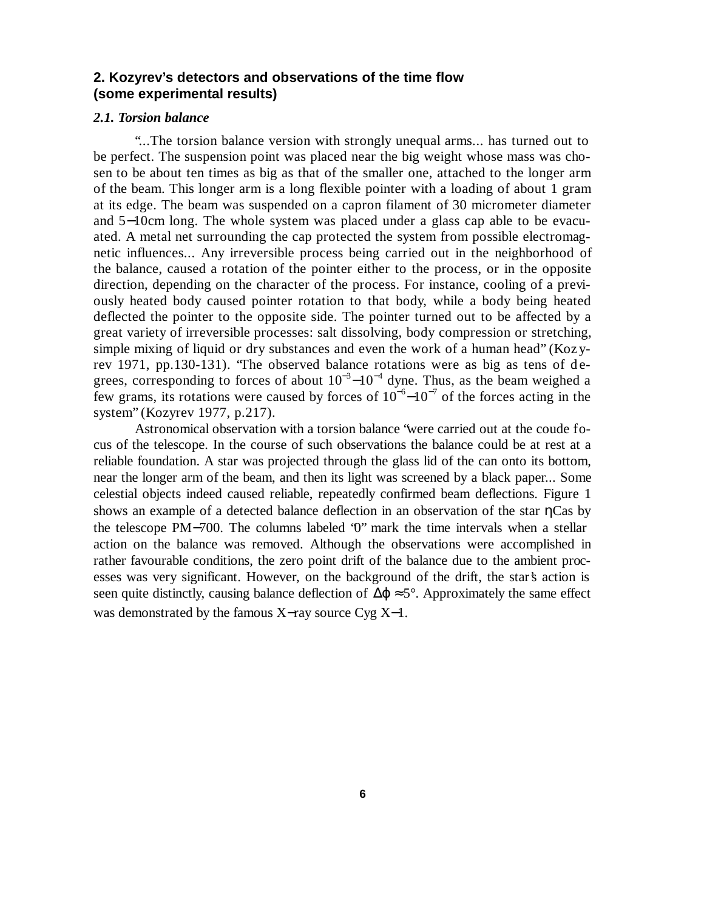# **2. Kozyrev's detectors and observations of the time flow (some experimental results)**

#### *2.1. Torsion balance*

"...The torsion balance version with strongly unequal arms... has turned out to be perfect. The suspension point was placed near the big weight whose mass was chosen to be about ten times as big as that of the smaller one, attached to the longer arm of the beam. This longer arm is a long flexible pointer with a loading of about 1 gram at its edge. The beam was suspended on a capron filament of 30 micrometer diameter and 5−10cm long. The whole system was placed under a glass cap able to be evacuated. A metal net surrounding the cap protected the system from possible electromagnetic influences... Any irreversible process being carried out in the neighborhood of the balance, caused a rotation of the pointer either to the process, or in the opposite direction, depending on the character of the process. For instance, cooling of a previously heated body caused pointer rotation to that body, while a body being heated deflected the pointer to the opposite side. The pointer turned out to be affected by a great variety of irreversible processes: salt dissolving, body compression or stretching, simple mixing of liquid or dry substances and even the work of a human head" (Koz yrev 1971, pp.130-131). 'The observed balance rotations were as big as tens of degrees, corresponding to forces of about  $10^{-3}$ – $10^{-4}$  dyne. Thus, as the beam weighed a few grams, its rotations were caused by forces of  $10^{-6}$ – $10^{-7}$  of the forces acting in the system" (Kozyrev 1977, p.217).

Astronomical observation with a torsion balance "were carried out at the coude focus of the telescope. In the course of such observations the balance could be at rest at a reliable foundation. A star was projected through the glass lid of the can onto its bottom, near the longer arm of the beam, and then its light was screened by a black paper... Some celestial objects indeed caused reliable, repeatedly confirmed beam deflections. Figure 1 shows an example of a detected balance deflection in an observation of the star ηCas by the telescope PM−700. The columns labeled "0" mark the time intervals when a stellar action on the balance was removed. Although the observations were accomplished in rather favourable conditions, the zero point drift of the balance due to the ambient processes was very significant. However, on the background of the drift, the star's action is seen quite distinctly, causing balance deflection of  $\Delta \varphi \approx 5^{\circ}$ . Approximately the same effect was demonstrated by the famous X−ray source Cyg X−1.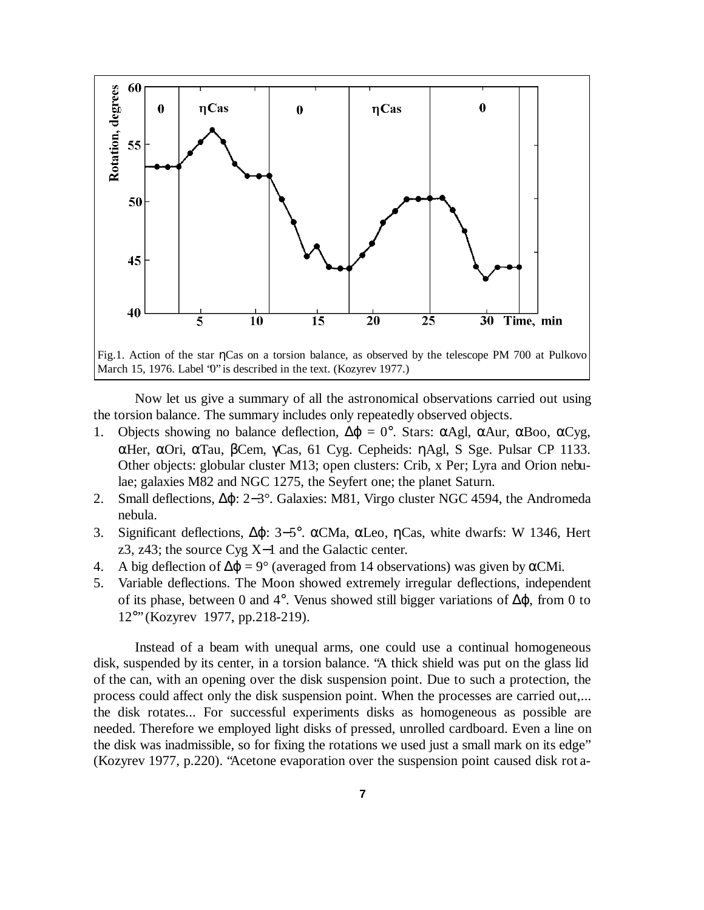

Now let us give a summary of all the astronomical observations carried out using the torsion balance. The summary includes only repeatedly observed objects.

- 1. Objects showing no balance deflection,  $\Delta \phi = 0^\circ$ . Stars: αAgl, αAur, αBoo, αCyg, αHer, αOri, αTau, βCem, γCas, 61 Cyg. Cepheids: ηAgl, S Sge. Pulsar CP 1133. Other objects: globular cluster M13; open clusters: Crib, x Per; Lyra and Orion nebulae; galaxies M82 and NGC 1275, the Seyfert one; the planet Saturn.
- 2. Small deflections, ∆ϕ: 2−3°. Galaxies: M81, Virgo cluster NGC 4594, the Andromeda nebula.
- 3. Significant deflections, ∆ϕ: 3−5°. αCMa, αLeo, ηCas, white dwarfs: W 1346, Hert z3, z43; the source Cyg X−1 and the Galactic center.
- 4. A big deflection of  $\Delta \varphi = 9^{\circ}$  (averaged from 14 observations) was given by αCMi.
- 5. Variable deflections. The Moon showed extremely irregular deflections, independent of its phase, between 0 and 4°. Venus showed still bigger variations of ∆ϕ, from 0 to 12°" (Kozyrev 1977, pp.218-219).

Instead of a beam with unequal arms, one could use a continual homogeneous disk, suspended by its center, in a torsion balance. "A thick shield was put on the glass lid of the can, with an opening over the disk suspension point. Due to such a protection, the process could affect only the disk suspension point. When the processes are carried out,... the disk rotates... For successful experiments disks as homogeneous as possible are needed. Therefore we employed light disks of pressed, unrolled cardboard. Even a line on the disk was inadmissible, so for fixing the rotations we used just a small mark on its edge" (Kozyrev 1977, p.220). "Acetone evaporation over the suspension point caused disk rot a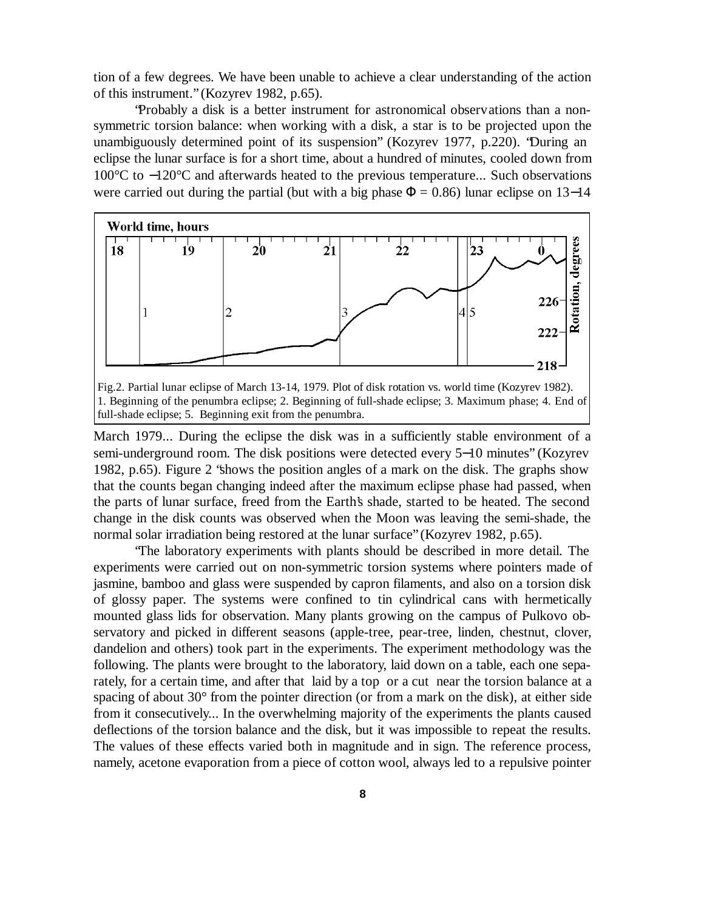tion of a few degrees. We have been unable to achieve a clear understanding of the action of this instrument." (Kozyrev 1982, p.65).

"Probably a disk is a better instrument for astronomical observations than a nonsymmetric torsion balance: when working with a disk, a star is to be projected upon the unambiguously determined point of its suspension" (Kozyrev 1977, p.220). "During an eclipse the lunar surface is for a short time, about a hundred of minutes, cooled down from 100°C to −120°C and afterwards heated to the previous temperature... Such observations were carried out during the partial (but with a big phase  $\Phi = 0.86$ ) lunar eclipse on 13–14



1. Beginning of the penumbra eclipse; 2. Beginning of full-shade eclipse; 3. Maximum phase; 4. End of full-shade eclipse; 5. Beginning exit from the penumbra.

March 1979... During the eclipse the disk was in a sufficiently stable environment of a semi-underground room. The disk positions were detected every 5–10 minutes" (Kozyrev 1982, p.65). Figure 2 "shows the position angles of a mark on the disk. The graphs show that the counts began changing indeed after the maximum eclipse phase had passed, when the parts of lunar surface, freed from the Earth's shade, started to be heated. The second change in the disk counts was observed when the Moon was leaving the semi-shade, the normal solar irradiation being restored at the lunar surface" (Kozyrev 1982, p.65).

"The laboratory experiments with plants should be described in more detail. The experiments were carried out on non-symmetric torsion systems where pointers made of jasmine, bamboo and glass were suspended by capron filaments, and also on a torsion disk of glossy paper. The systems were confined to tin cylindrical cans with hermetically mounted glass lids for observation. Many plants growing on the campus of Pulkovo observatory and picked in different seasons (apple-tree, pear-tree, linden, chestnut, clover, dandelion and others) took part in the experiments. The experiment methodology was the following. The plants were brought to the laboratory, laid down on a table, each one separately, for a certain time, and after that laid by a top or a cut near the torsion balance at a spacing of about 30° from the pointer direction (or from a mark on the disk), at either side from it consecutively... In the overwhelming majority of the experiments the plants caused deflections of the torsion balance and the disk, but it was impossible to repeat the results. The values of these effects varied both in magnitude and in sign. The reference process, namely, acetone evaporation from a piece of cotton wool, always led to a repulsive pointer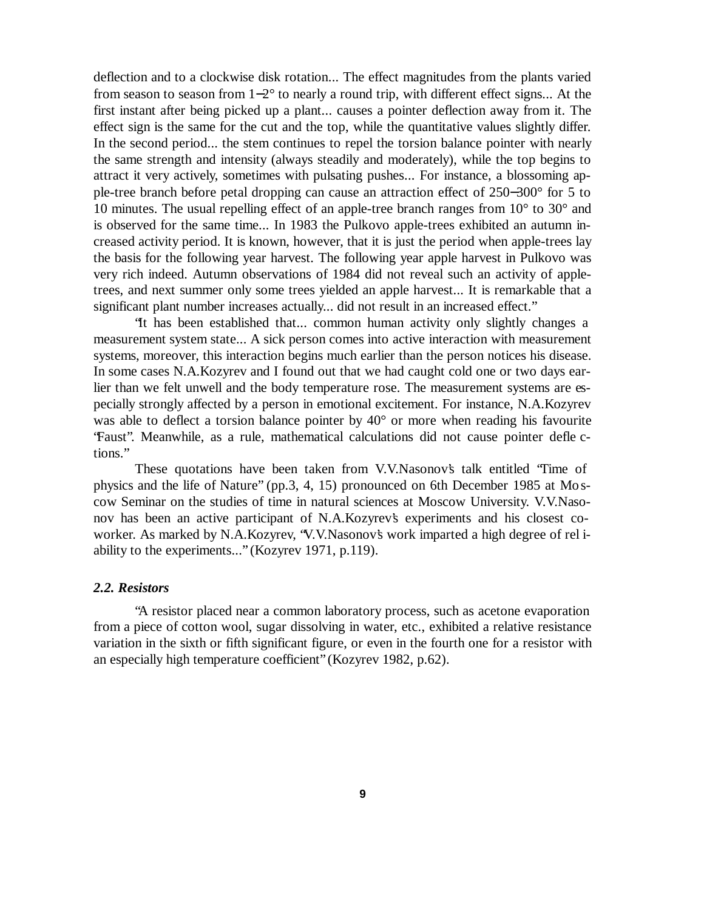deflection and to a clockwise disk rotation... The effect magnitudes from the plants varied from season to season from 1−2° to nearly a round trip, with different effect signs... At the first instant after being picked up a plant... causes a pointer deflection away from it. The effect sign is the same for the cut and the top, while the quantitative values slightly differ. In the second period... the stem continues to repel the torsion balance pointer with nearly the same strength and intensity (always steadily and moderately), while the top begins to attract it very actively, sometimes with pulsating pushes... For instance, a blossoming apple-tree branch before petal dropping can cause an attraction effect of 250−300° for 5 to 10 minutes. The usual repelling effect of an apple-tree branch ranges from 10° to 30° and is observed for the same time... In 1983 the Pulkovo apple-trees exhibited an autumn increased activity period. It is known, however, that it is just the period when apple-trees lay the basis for the following year harvest. The following year apple harvest in Pulkovo was very rich indeed. Autumn observations of 1984 did not reveal such an activity of appletrees, and next summer only some trees yielded an apple harvest... It is remarkable that a significant plant number increases actually... did not result in an increased effect."

"It has been established that... common human activity only slightly changes a measurement system state... A sick person comes into active interaction with measurement systems, moreover, this interaction begins much earlier than the person notices his disease. In some cases N.A.Kozyrev and I found out that we had caught cold one or two days earlier than we felt unwell and the body temperature rose. The measurement systems are especially strongly affected by a person in emotional excitement. For instance, N.A.Kozyrev was able to deflect a torsion balance pointer by 40° or more when reading his favourite "Faust". Meanwhile, as a rule, mathematical calculations did not cause pointer defle ctions."

These quotations have been taken from V.V.Nasonov's talk entitled "Time of physics and the life of Nature" (pp.3, 4, 15) pronounced on 6th December 1985 at Mo scow Seminar on the studies of time in natural sciences at Moscow University. V.V.Nasonov has been an active participant of N.A.Kozyrev's experiments and his closest coworker. As marked by N.A.Kozyrev, "V.V.Nasonov's work imparted a high degree of rel iability to the experiments..." (Kozyrev 1971, p.119).

#### *2.2. Resistors*

"A resistor placed near a common laboratory process, such as acetone evaporation from a piece of cotton wool, sugar dissolving in water, etc., exhibited a relative resistance variation in the sixth or fifth significant figure, or even in the fourth one for a resistor with an especially high temperature coefficient" (Kozyrev 1982, p.62).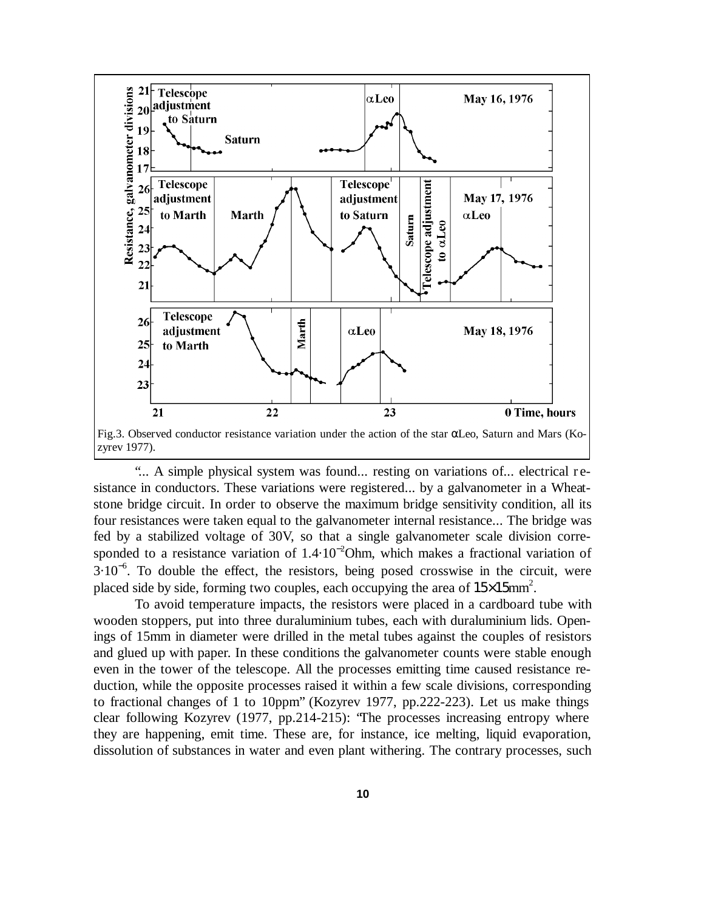

... A simple physical system was found... resting on variations of... electrical resistance in conductors. These variations were registered... by a galvanometer in a Wheatstone bridge circuit. In order to observe the maximum bridge sensitivity condition, all its four resistances were taken equal to the galvanometer internal resistance... The bridge was fed by a stabilized voltage of 30V, so that a single galvanometer scale division corresponded to a resistance variation of  $1.4 \cdot 10^{-2}$ Ohm, which makes a fractional variation of 3·10<sup>-6</sup>. To double the effect, the resistors, being posed crosswise in the circuit, were placed side by side, forming two couples, each occupying the area of  $15\times15$ mm<sup>2</sup>.

To avoid temperature impacts, the resistors were placed in a cardboard tube with wooden stoppers, put into three duraluminium tubes, each with duraluminium lids. Openings of 15mm in diameter were drilled in the metal tubes against the couples of resistors and glued up with paper. In these conditions the galvanometer counts were stable enough even in the tower of the telescope. All the processes emitting time caused resistance reduction, while the opposite processes raised it within a few scale divisions, corresponding to fractional changes of 1 to 10ppm" (Kozyrev 1977, pp.222-223). Let us make things clear following Kozyrev (1977, pp.214-215): "The processes increasing entropy where they are happening, emit time. These are, for instance, ice melting, liquid evaporation, dissolution of substances in water and even plant withering. The contrary processes, such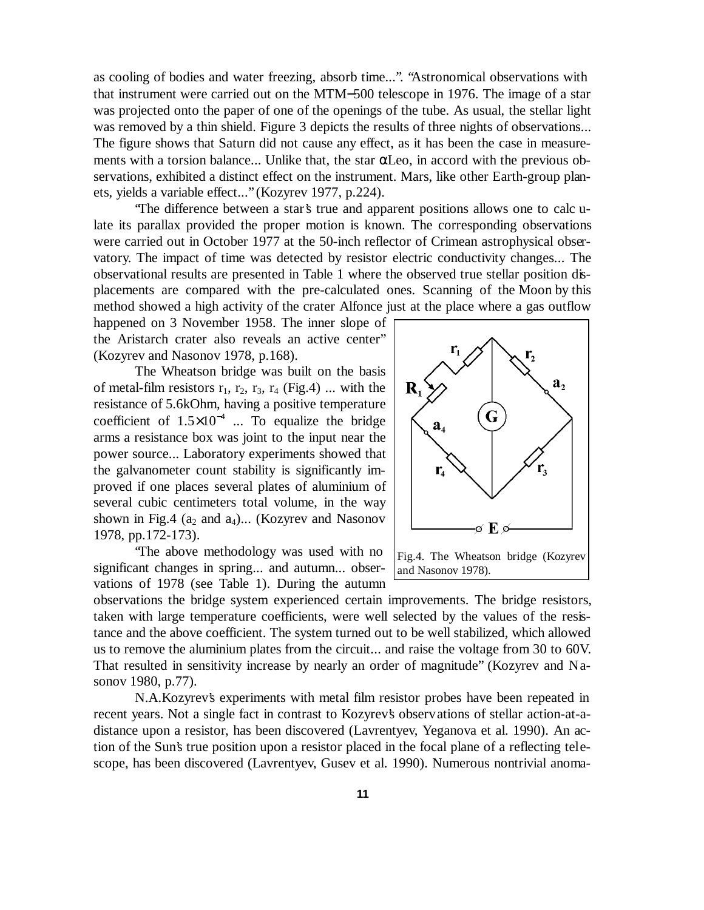as cooling of bodies and water freezing, absorb time...". "Astronomical observations with that instrument were carried out on the MTM−500 telescope in 1976. The image of a star was projected onto the paper of one of the openings of the tube. As usual, the stellar light was removed by a thin shield. Figure 3 depicts the results of three nights of observations... The figure shows that Saturn did not cause any effect, as it has been the case in measurements with a torsion balance... Unlike that, the star αLeo, in accord with the previous observations, exhibited a distinct effect on the instrument. Mars, like other Earth-group planets, yields a variable effect..." (Kozyrev 1977, p.224).

"The difference between a star's true and apparent positions allows one to calc ulate its parallax provided the proper motion is known. The corresponding observations were carried out in October 1977 at the 50-inch reflector of Crimean astrophysical observatory. The impact of time was detected by resistor electric conductivity changes... The observational results are presented in Table 1 where the observed true stellar position displacements are compared with the pre-calculated ones. Scanning of the Moon by this method showed a high activity of the crater Alfonce just at the place where a gas outflow

happened on 3 November 1958. The inner slope of the Aristarch crater also reveals an active center" (Kozyrev and Nasonov 1978, p.168).

The Wheatson bridge was built on the basis of metal-film resistors  $r_1$ ,  $r_2$ ,  $r_3$ ,  $r_4$  (Fig.4) ... with the resistance of 5.6kOhm, having a positive temperature coefficient of  $1.5 \times 10^{-4}$  ... To equalize the bridge arms a resistance box was joint to the input near the power source... Laboratory experiments showed that the galvanometer count stability is significantly improved if one places several plates of aluminium of several cubic centimeters total volume, in the way shown in Fig.4 ( $a_2$  and  $a_4$ )... (Kozyrev and Nasonov 1978, pp.172-173).

"The above methodology was used with no significant changes in spring... and autumn... observations of 1978 (see Table 1). During the autumn



Fig.4. The Wheatson bridge (Kozyrev and Nasonov 1978).

observations the bridge system experienced certain improvements. The bridge resistors, taken with large temperature coefficients, were well selected by the values of the resistance and the above coefficient. The system turned out to be well stabilized, which allowed us to remove the aluminium plates from the circuit... and raise the voltage from 30 to 60V. That resulted in sensitivity increase by nearly an order of magnitude" (Kozyrev and Nasonov 1980, p.77).

N.A.Kozyrev's experiments with metal film resistor probes have been repeated in recent years. Not a single fact in contrast to Kozyrev's observations of stellar action-at-adistance upon a resistor, has been discovered (Lavrentyev, Yeganova et al. 1990). An action of the Sun's true position upon a resistor placed in the focal plane of a reflecting telescope, has been discovered (Lavrentyev, Gusev et al. 1990). Numerous nontrivial anoma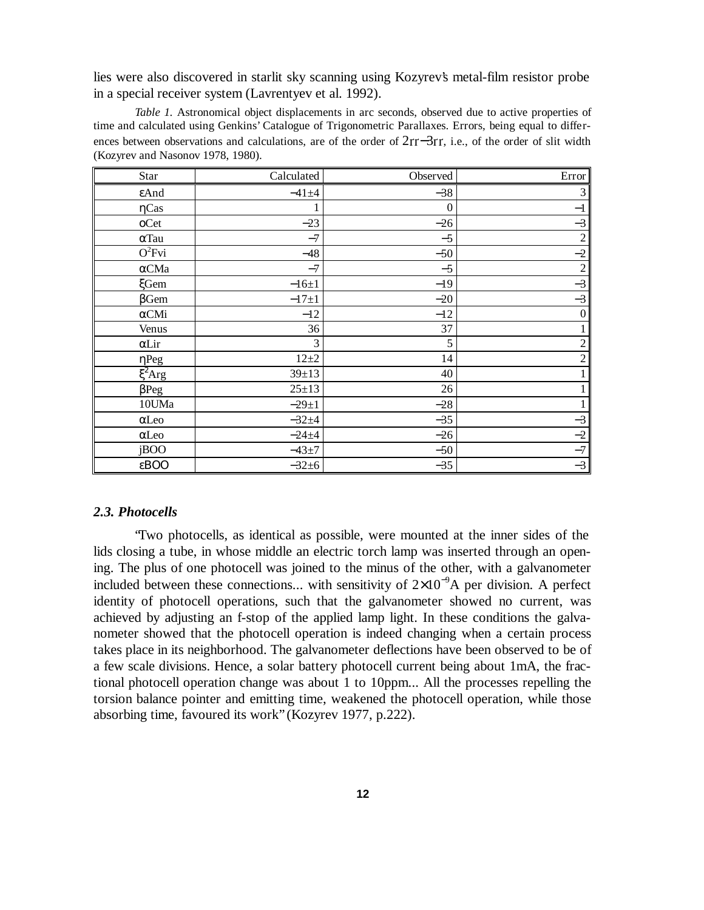lies were also discovered in starlit sky scanning using Kozyrev's metal-film resistor probe in a special receiver system (Lavrentyev et al. 1992).

*Table 1.* Astronomical object displacements in arc seconds, observed due to active properties of time and calculated using Genkins' Catalogue of Trigonometric Parallaxes. Errors, being equal to differences between observations and calculations, are of the order of 2rr−3rr, i.e., of the order of slit width (Kozyrev and Nasonov 1978, 1980).

| <b>Star</b>  | Calculated  | Observed | Error            |
|--------------|-------------|----------|------------------|
| εAnd         | $-41+4$     | $-38$    | 3                |
| $\eta$ Cas   |             | $\theta$ | $-1$             |
| oCet         | $-23$       | $-26$    | $-3$             |
| $\alpha$ Tau | $-7$        | $-5$     | $\overline{c}$   |
| $O^2$ Fvi    | $-48$       | $-50$    | $-2$             |
| $\alpha$ CMa | $-7$        | $-5$     | $\overline{2}$   |
| ξGem         | $-16 \pm 1$ | $-19$    | $-3$             |
| $\beta$ Gem  | $-17 \pm 1$ | $-20$    | $-3$             |
| $\alpha$ CMi | $-12$       | $-12$    | $\boldsymbol{0}$ |
| Venus        | 36          | 37       | $\mathbf{1}$     |
| $\alpha$ Lir | 3           | 5        | $\overline{c}$   |
| $\eta$ Peg   | $12+2$      | 14       | $\overline{2}$   |
| $\xi^2 Arg$  | $39 \pm 13$ | 40       | $\mathbf{1}$     |
| $\beta$ Peg  | $25 \pm 13$ | 26       |                  |
| 10UMa        | $-29 \pm 1$ | $-28$    | 1                |
| $\alpha$ Leo | $-32+4$     | $-35$    | $-3$             |
| $\alpha$ Leo | $-24+4$     | $-26$    | $-2$             |
| jBOO         | $-43+7$     | $-50$    | $-7$             |
| εBOO         | $-32+6$     | $-35$    | $-3$             |

### *2.3. Photocells*

"Two photocells, as identical as possible, were mounted at the inner sides of the lids closing a tube, in whose middle an electric torch lamp was inserted through an opening. The plus of one photocell was joined to the minus of the other, with a galvanometer included between these connections... with sensitivity of  $2\times10^{-9}$ A per division. A perfect identity of photocell operations, such that the galvanometer showed no current, was achieved by adjusting an f-stop of the applied lamp light. In these conditions the galvanometer showed that the photocell operation is indeed changing when a certain process takes place in its neighborhood. The galvanometer deflections have been observed to be of a few scale divisions. Hence, a solar battery photocell current being about 1mA, the fractional photocell operation change was about 1 to 10ppm... All the processes repelling the torsion balance pointer and emitting time, weakened the photocell operation, while those absorbing time, favoured its work" (Kozyrev 1977, p.222).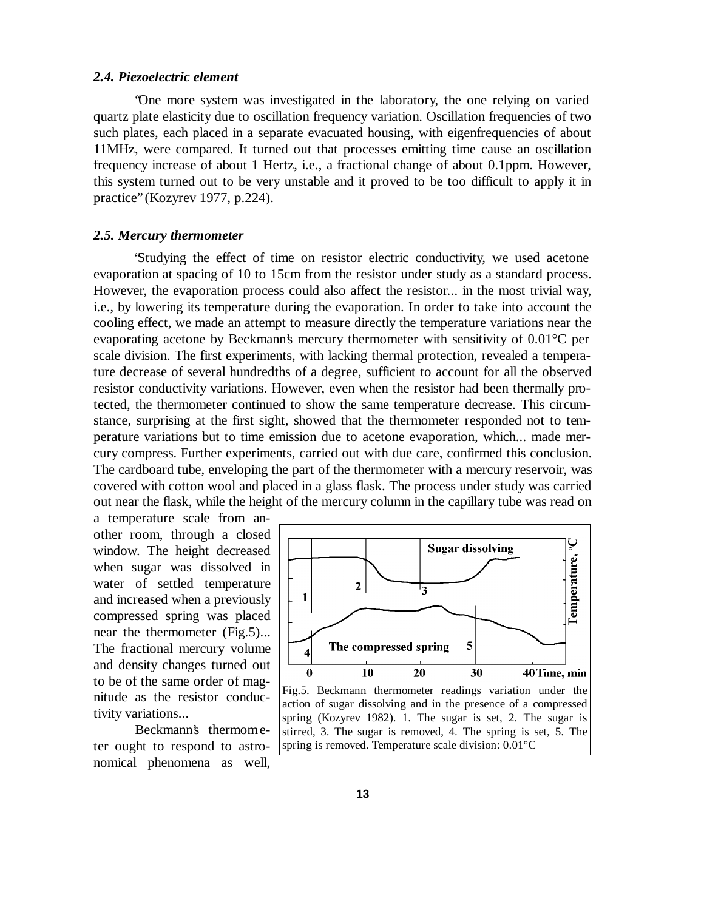## *2.4. Piezoelectric element*

"One more system was investigated in the laboratory, the one relying on varied quartz plate elasticity due to oscillation frequency variation. Oscillation frequencies of two such plates, each placed in a separate evacuated housing, with eigenfrequencies of about 11MHz, were compared. It turned out that processes emitting time cause an oscillation frequency increase of about 1 Hertz, i.e., a fractional change of about 0.1ppm. However, this system turned out to be very unstable and it proved to be too difficult to apply it in practice" (Kozyrev 1977, p.224).

### *2.5. Mercury thermometer*

"Studying the effect of time on resistor electric conductivity, we used acetone evaporation at spacing of 10 to 15cm from the resistor under study as a standard process. However, the evaporation process could also affect the resistor... in the most trivial way, i.e., by lowering its temperature during the evaporation. In order to take into account the cooling effect, we made an attempt to measure directly the temperature variations near the evaporating acetone by Beckmann's mercury thermometer with sensitivity of 0.01°C per scale division. The first experiments, with lacking thermal protection, revealed a temperature decrease of several hundredths of a degree, sufficient to account for all the observed resistor conductivity variations. However, even when the resistor had been thermally protected, the thermometer continued to show the same temperature decrease. This circumstance, surprising at the first sight, showed that the thermometer responded not to temperature variations but to time emission due to acetone evaporation, which... made mercury compress. Further experiments, carried out with due care, confirmed this conclusion. The cardboard tube, enveloping the part of the thermometer with a mercury reservoir, was covered with cotton wool and placed in a glass flask. The process under study was carried out near the flask, while the height of the mercury column in the capillary tube was read on

a temperature scale from another room, through a closed window. The height decreased when sugar was dissolved in water of settled temperature and increased when a previously compressed spring was placed near the thermometer (Fig.5)... The fractional mercury volume and density changes turned out to be of the same order of magnitude as the resistor conductivity variations...

Beckmann's thermometer ought to respond to astronomical phenomena as well,



action of sugar dissolving and in the presence of a compressed spring (Kozyrev 1982). 1. The sugar is set, 2. The sugar is stirred, 3. The sugar is removed, 4. The spring is set, 5. The spring is removed. Temperature scale division: 0.01°C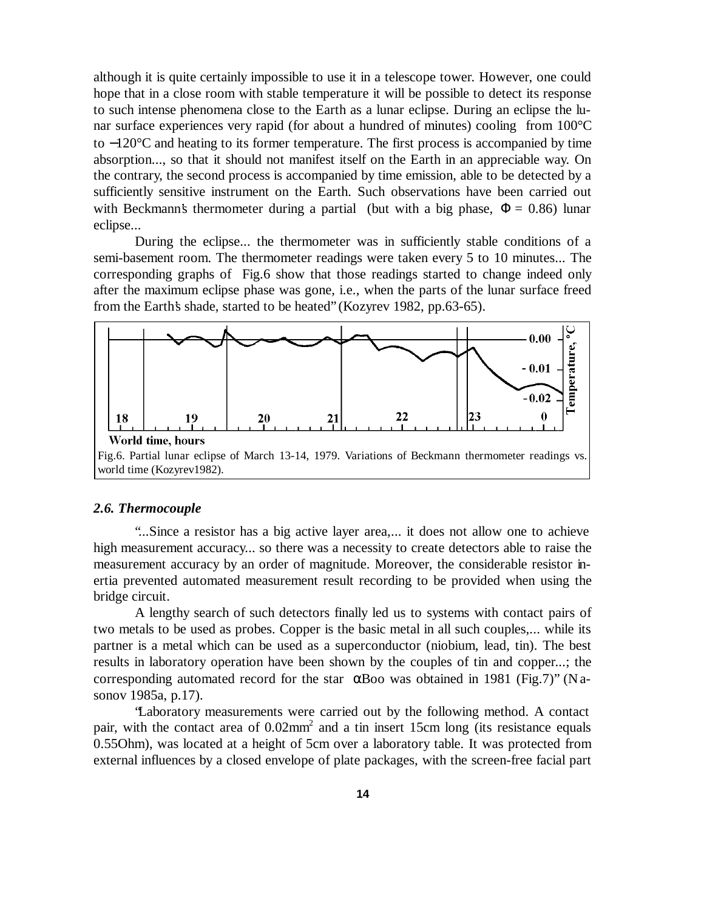although it is quite certainly impossible to use it in a telescope tower. However, one could hope that in a close room with stable temperature it will be possible to detect its response to such intense phenomena close to the Earth as a lunar eclipse. During an eclipse the lunar surface experiences very rapid (for about a hundred of minutes) cooling from 100°C to −120°C and heating to its former temperature. The first process is accompanied by time absorption..., so that it should not manifest itself on the Earth in an appreciable way. On the contrary, the second process is accompanied by time emission, able to be detected by a sufficiently sensitive instrument on the Earth. Such observations have been carried out with Beckmann's thermometer during a partial (but with a big phase,  $\Phi = 0.86$ ) lunar eclipse...

During the eclipse... the thermometer was in sufficiently stable conditions of a semi-basement room. The thermometer readings were taken every 5 to 10 minutes... The corresponding graphs of Fig.6 show that those readings started to change indeed only after the maximum eclipse phase was gone, i.e., when the parts of the lunar surface freed from the Earth's shade, started to be heated" (Kozyrev 1982, pp.63-65).



#### *2.6. Thermocouple*

"...Since a resistor has a big active layer area,... it does not allow one to achieve high measurement accuracy... so there was a necessity to create detectors able to raise the measurement accuracy by an order of magnitude. Moreover, the considerable resistor inertia prevented automated measurement result recording to be provided when using the bridge circuit.

A lengthy search of such detectors finally led us to systems with contact pairs of two metals to be used as probes. Copper is the basic metal in all such couples,... while its partner is a metal which can be used as a superconductor (niobium, lead, tin). The best results in laboratory operation have been shown by the couples of tin and copper...; the corresponding automated record for the star  $\alpha$ Boo was obtained in 1981 (Fig.7)" (Nasonov 1985a, p.17).

"Laboratory measurements were carried out by the following method. A contact pair, with the contact area of 0.02mm<sup>2</sup> and a tin insert 15cm long (its resistance equals 0.55Ohm), was located at a height of 5cm over a laboratory table. It was protected from external influences by a closed envelope of plate packages, with the screen-free facial part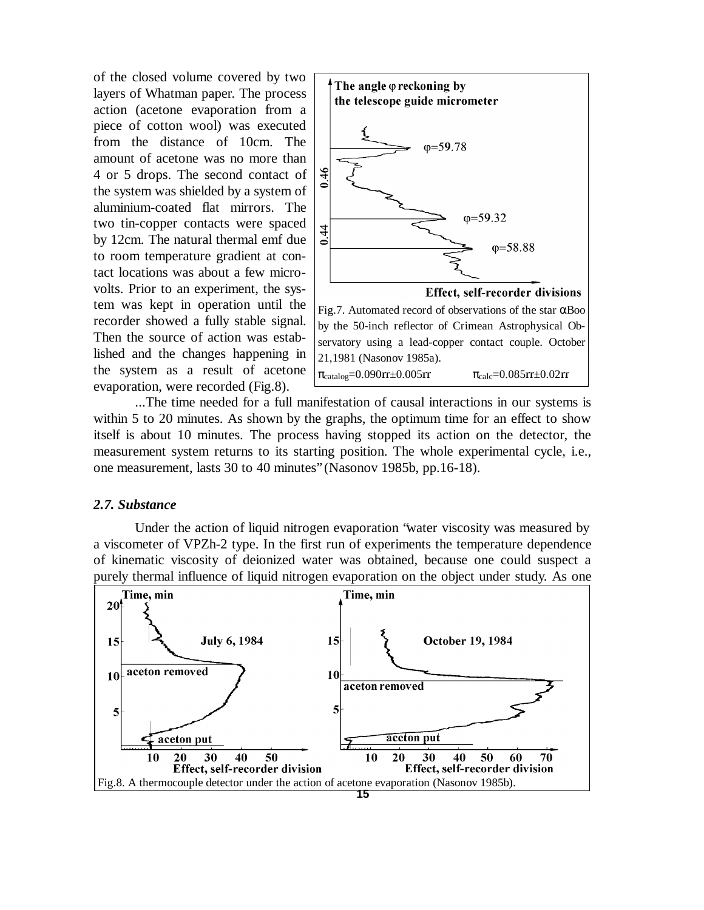of the closed volume covered by two layers of Whatman paper. The process action (acetone evaporation from a piece of cotton wool) was executed from the distance of 10cm. The amount of acetone was no more than 4 or 5 drops. The second contact of the system was shielded by a system of aluminium-coated flat mirrors. The two tin-copper contacts were spaced by 12cm. The natural thermal emf due to room temperature gradient at contact locations was about a few microvolts. Prior to an experiment, the system was kept in operation until the recorder showed a fully stable signal. Then the source of action was established and the changes happening in the system as a result of acetone evaporation, were recorded (Fig.8).



...The time needed for a full manifestation of causal interactions in our systems is within 5 to 20 minutes. As shown by the graphs, the optimum time for an effect to show itself is about 10 minutes. The process having stopped its action on the detector, the measurement system returns to its starting position. The whole experimental cycle, i.e., one measurement, lasts 30 to 40 minutes" (Nasonov 1985b, pp.16-18).

# *2.7. Substance*

Under the action of liquid nitrogen evaporation "water viscosity was measured by a viscometer of VPZh-2 type. In the first run of experiments the temperature dependence of kinematic viscosity of deionized water was obtained, because one could suspect a purely thermal influence of liquid nitrogen evaporation on the object under study. As one

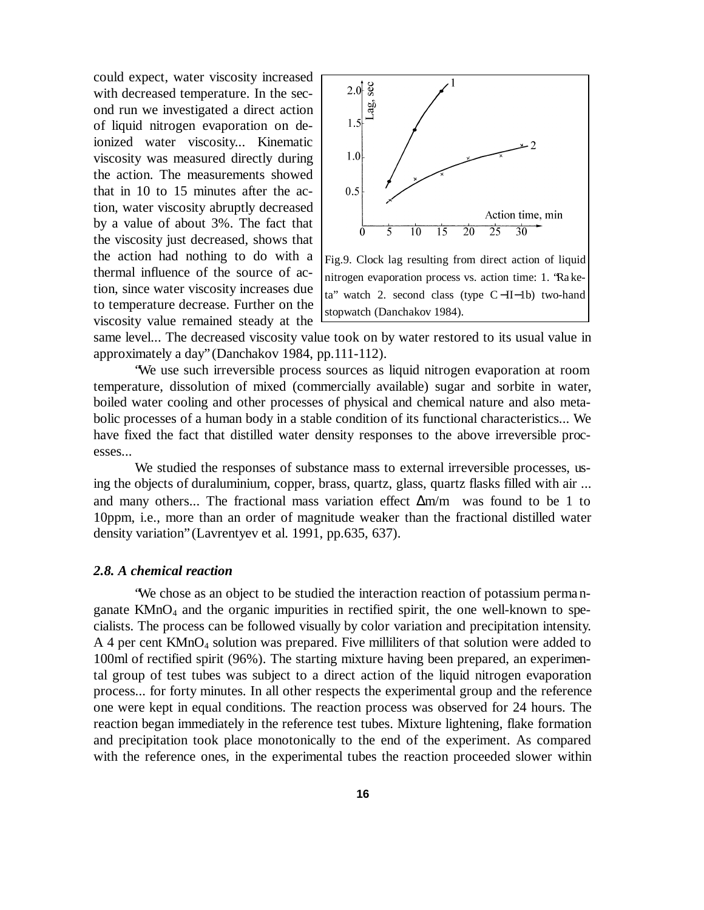could expect, water viscosity increased with decreased temperature. In the second run we investigated a direct action of liquid nitrogen evaporation on deionized water viscosity... Kinematic viscosity was measured directly during the action. The measurements showed that in 10 to 15 minutes after the action, water viscosity abruptly decreased by a value of about 3%. The fact that the viscosity just decreased, shows that the action had nothing to do with a thermal influence of the source of action, since water viscosity increases due to temperature decrease. Further on the viscosity value remained steady at the



nitrogen evaporation process vs. action time: 1. "Ra keta" watch 2. second class (type C−II−1b) two-hand stopwatch (Danchakov 1984).

same level... The decreased viscosity value took on by water restored to its usual value in approximately a day" (Danchakov 1984, pp.111-112).

"We use such irreversible process sources as liquid nitrogen evaporation at room temperature, dissolution of mixed (commercially available) sugar and sorbite in water, boiled water cooling and other processes of physical and chemical nature and also metabolic processes of a human body in a stable condition of its functional characteristics... We have fixed the fact that distilled water density responses to the above irreversible processes...

We studied the responses of substance mass to external irreversible processes, using the objects of duraluminium, copper, brass, quartz, glass, quartz flasks filled with air ... and many others... The fractional mass variation effect ∆m/m was found to be 1 to 10ppm, i.e., more than an order of magnitude weaker than the fractional distilled water density variation" (Lavrentyev et al. 1991, pp.635, 637).

## *2.8. A chemical reaction*

"We chose as an object to be studied the interaction reaction of potassium perma nganate  $KMnO<sub>4</sub>$  and the organic impurities in rectified spirit, the one well-known to specialists. The process can be followed visually by color variation and precipitation intensity.  $A$  4 per cent KMnO<sub>4</sub> solution was prepared. Five milliliters of that solution were added to 100ml of rectified spirit (96%). The starting mixture having been prepared, an experimental group of test tubes was subject to a direct action of the liquid nitrogen evaporation process... for forty minutes. In all other respects the experimental group and the reference one were kept in equal conditions. The reaction process was observed for 24 hours. The reaction began immediately in the reference test tubes. Mixture lightening, flake formation and precipitation took place monotonically to the end of the experiment. As compared with the reference ones, in the experimental tubes the reaction proceeded slower within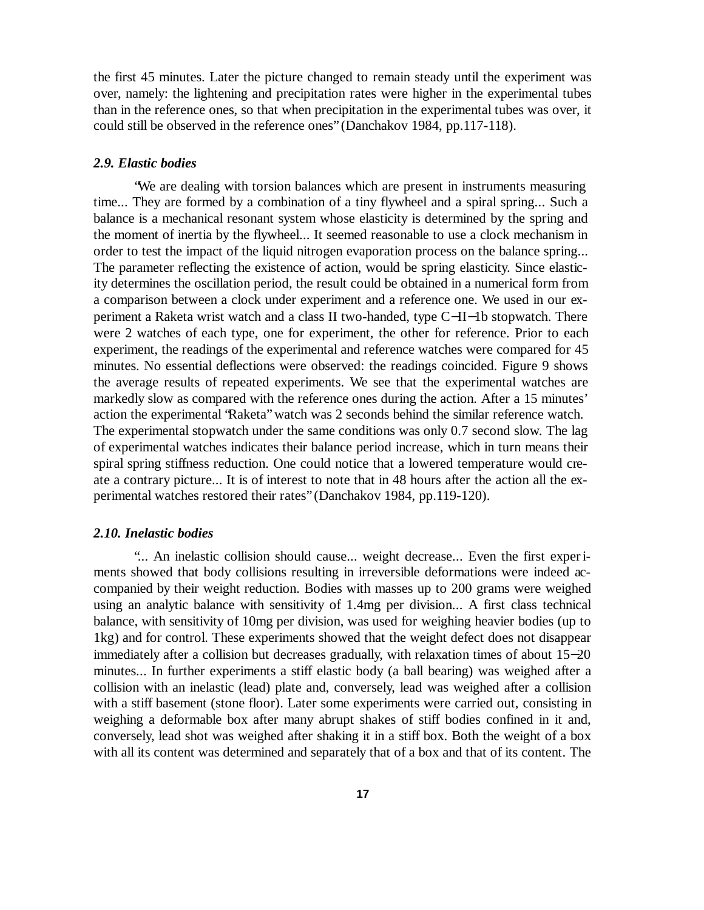the first 45 minutes. Later the picture changed to remain steady until the experiment was over, namely: the lightening and precipitation rates were higher in the experimental tubes than in the reference ones, so that when precipitation in the experimental tubes was over, it could still be observed in the reference ones" (Danchakov 1984, pp.117-118).

## *2.9. Elastic bodies*

"We are dealing with torsion balances which are present in instruments measuring time... They are formed by a combination of a tiny flywheel and a spiral spring... Such a balance is a mechanical resonant system whose elasticity is determined by the spring and the moment of inertia by the flywheel... It seemed reasonable to use a clock mechanism in order to test the impact of the liquid nitrogen evaporation process on the balance spring... The parameter reflecting the existence of action, would be spring elasticity. Since elasticity determines the oscillation period, the result could be obtained in a numerical form from a comparison between a clock under experiment and a reference one. We used in our experiment a Raketa wrist watch and a class II two-handed, type C−II−1b stopwatch. There were 2 watches of each type, one for experiment, the other for reference. Prior to each experiment, the readings of the experimental and reference watches were compared for 45 minutes. No essential deflections were observed: the readings coincided. Figure 9 shows the average results of repeated experiments. We see that the experimental watches are markedly slow as compared with the reference ones during the action. After a 15 minutes' action the experimental "Raketa" watch was 2 seconds behind the similar reference watch. The experimental stopwatch under the same conditions was only 0.7 second slow. The lag of experimental watches indicates their balance period increase, which in turn means their spiral spring stiffness reduction. One could notice that a lowered temperature would create a contrary picture... It is of interest to note that in 48 hours after the action all the experimental watches restored their rates" (Danchakov 1984, pp.119-120).

# *2.10. Inelastic bodies*

"... An inelastic collision should cause... weight decrease... Even the first experiments showed that body collisions resulting in irreversible deformations were indeed accompanied by their weight reduction. Bodies with masses up to 200 grams were weighed using an analytic balance with sensitivity of 1.4mg per division... A first class technical balance, with sensitivity of 10mg per division, was used for weighing heavier bodies (up to 1kg) and for control. These experiments showed that the weight defect does not disappear immediately after a collision but decreases gradually, with relaxation times of about 15−20 minutes... In further experiments a stiff elastic body (a ball bearing) was weighed after a collision with an inelastic (lead) plate and, conversely, lead was weighed after a collision with a stiff basement (stone floor). Later some experiments were carried out, consisting in weighing a deformable box after many abrupt shakes of stiff bodies confined in it and, conversely, lead shot was weighed after shaking it in a stiff box. Both the weight of a box with all its content was determined and separately that of a box and that of its content. The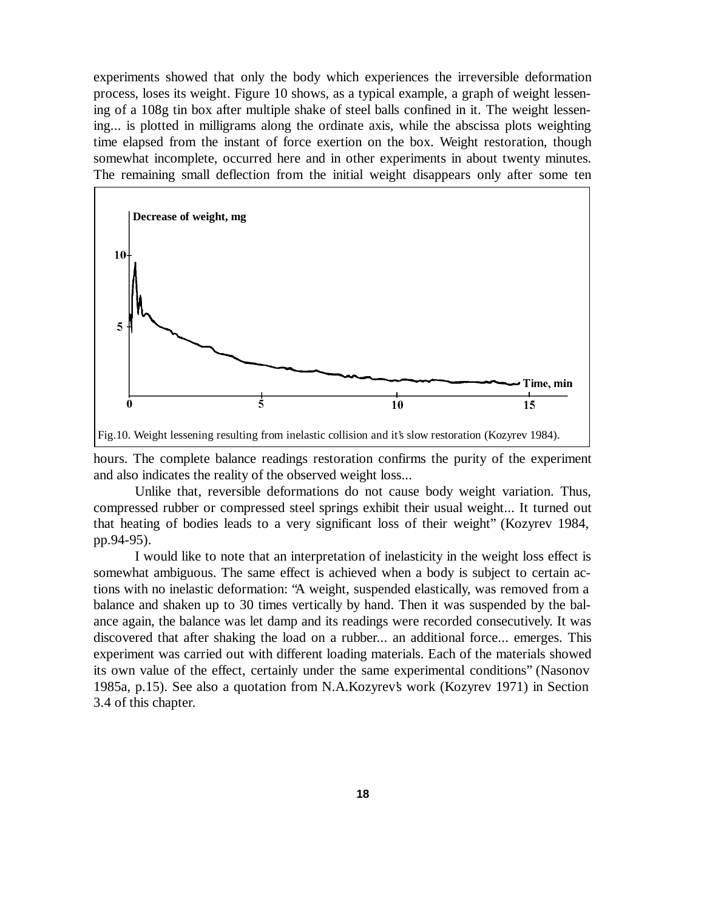experiments showed that only the body which experiences the irreversible deformation process, loses its weight. Figure 10 shows, as a typical example, a graph of weight lessening of a 108g tin box after multiple shake of steel balls confined in it. The weight lessening... is plotted in milligrams along the ordinate axis, while the abscissa plots weighting time elapsed from the instant of force exertion on the box. Weight restoration, though somewhat incomplete, occurred here and in other experiments in about twenty minutes. The remaining small deflection from the initial weight disappears only after some ten



hours. The complete balance readings restoration confirms the purity of the experiment and also indicates the reality of the observed weight loss...

Unlike that, reversible deformations do not cause body weight variation. Thus, compressed rubber or compressed steel springs exhibit their usual weight... It turned out that heating of bodies leads to a very significant loss of their weight" (Kozyrev 1984, pp.94-95).

I would like to note that an interpretation of inelasticity in the weight loss effect is somewhat ambiguous. The same effect is achieved when a body is subject to certain actions with no inelastic deformation: "A weight, suspended elastically, was removed from a balance and shaken up to 30 times vertically by hand. Then it was suspended by the balance again, the balance was let damp and its readings were recorded consecutively. It was discovered that after shaking the load on a rubber... an additional force... emerges. This experiment was carried out with different loading materials. Each of the materials showed its own value of the effect, certainly under the same experimental conditions" (Nasonov 1985a, p.15). See also a quotation from N.A.Kozyrev's work (Kozyrev 1971) in Section 3.4 of this chapter.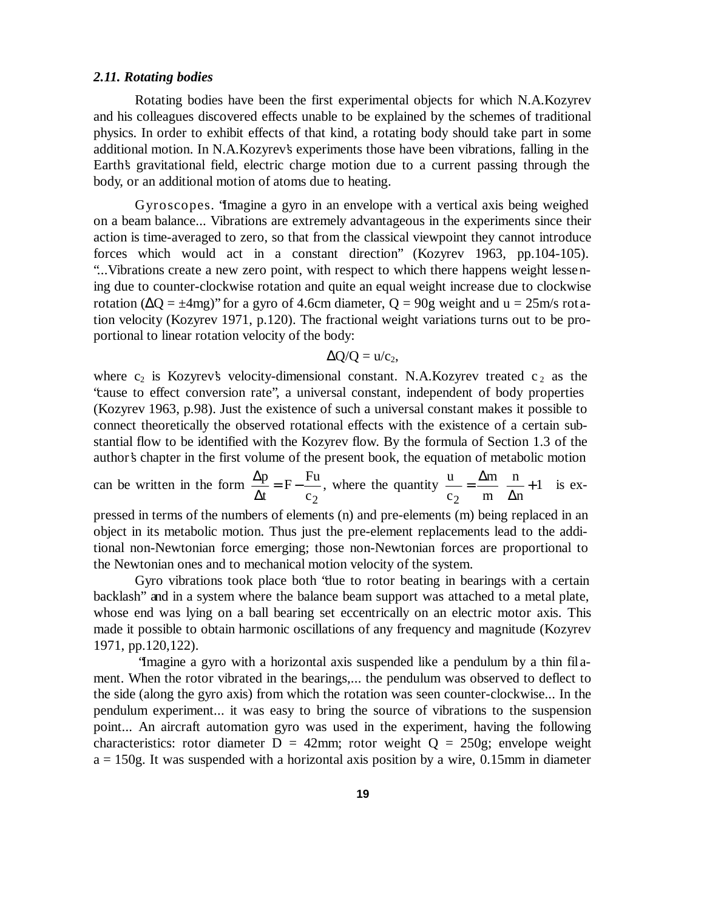## *2.11. Rotating bodies*

Rotating bodies have been the first experimental objects for which N.A.Kozyrev and his colleagues discovered effects unable to be explained by the schemes of traditional physics. In order to exhibit effects of that kind, a rotating body should take part in some additional motion. In N.A.Kozyrev's experiments those have been vibrations, falling in the Earth's gravitational field, electric charge motion due to a current passing through the body, or an additional motion of atoms due to heating.

Gyroscopes. "Imagine a gyro in an envelope with a vertical axis being weighed on a beam balance... Vibrations are extremely advantageous in the experiments since their action is time-averaged to zero, so that from the classical viewpoint they cannot introduce forces which would act in a constant direction" (Kozyrev 1963, pp.104-105). "...Vibrations create a new zero point, with respect to which there happens weight lessening due to counter-clockwise rotation and quite an equal weight increase due to clockwise rotation ( $\Delta Q = \pm 4$ mg)" for a gyro of 4.6cm diameter, Q = 90g weight and u = 25m/s rotation velocity (Kozyrev 1971, p.120). The fractional weight variations turns out to be proportional to linear rotation velocity of the body:

$$
\Delta Q/Q = u/c_2,
$$

where  $c_2$  is Kozyrev's velocity-dimensional constant. N.A.Kozyrev treated  $c_2$  as the "cause to effect conversion rate", a universal constant, independent of body properties (Kozyrev 1963, p.98). Just the existence of such a universal constant makes it possible to connect theoretically the observed rotational effects with the existence of a certain substantial flow to be identified with the Kozyrev flow. By the formula of Section 1.3 of the author's chapter in the first volume of the present book, the equation of metabolic motion

can be written in the form 
$$
\frac{\Delta p}{\Delta t} = F - \frac{Fu}{c_2}
$$
, where the quantity  $\frac{u}{c_2} = \frac{\Delta m}{m} \left( \frac{n}{\Delta n} + 1 \right)$  is ex-

pressed in terms of the numbers of elements (n) and pre-elements (m) being replaced in an object in its metabolic motion. Thus just the pre-element replacements lead to the additional non-Newtonian force emerging; those non-Newtonian forces are proportional to the Newtonian ones and to mechanical motion velocity of the system.

Gyro vibrations took place both "due to rotor beating in bearings with a certain backlash" and in a system where the balance beam support was attached to a metal plate, whose end was lying on a ball bearing set eccentrically on an electric motor axis. This made it possible to obtain harmonic oscillations of any frequency and magnitude (Kozyrev 1971, pp.120,122).

"Imagine a gyro with a horizontal axis suspended like a pendulum by a thin fil ament. When the rotor vibrated in the bearings,... the pendulum was observed to deflect to the side (along the gyro axis) from which the rotation was seen counter-clockwise... In the pendulum experiment... it was easy to bring the source of vibrations to the suspension point... An aircraft automation gyro was used in the experiment, having the following characteristics: rotor diameter  $D = 42$ mm; rotor weight  $Q = 250$ g; envelope weight  $a = 150g$ . It was suspended with a horizontal axis position by a wire, 0.15mm in diameter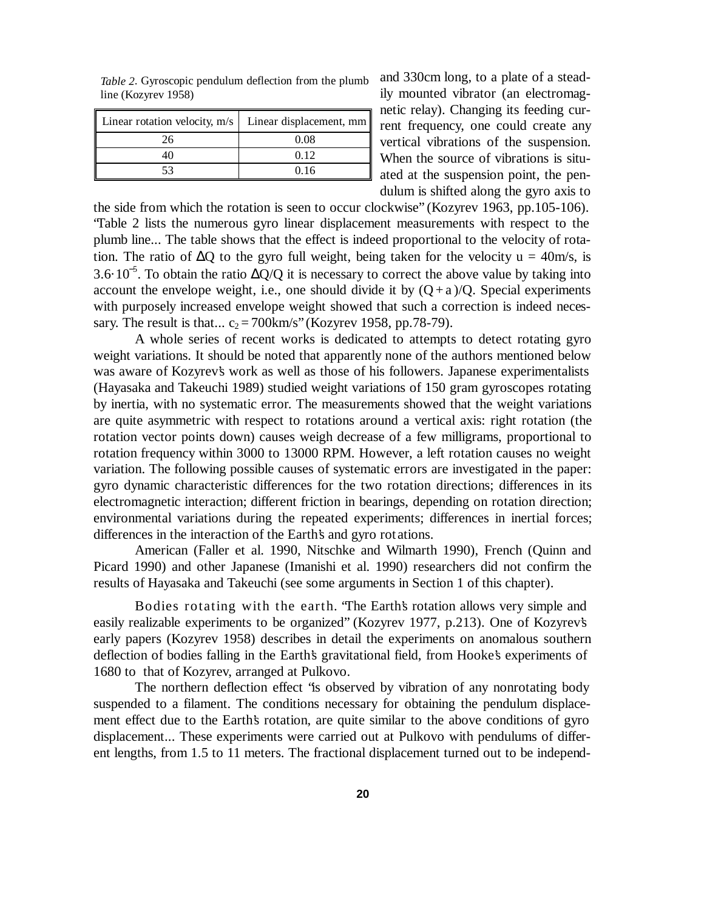*Table 2*. Gyroscopic pendulum deflection from the plumb line (Kozyrev 1958)

| Linear rotation velocity, $m/s$ | Linear displacement, mm |  |
|---------------------------------|-------------------------|--|
| 26                              | 0.08                    |  |
|                                 | 0.12                    |  |
|                                 | 0.16                    |  |

and 330cm long, to a plate of a steadily mounted vibrator (an electromagnetic relay). Changing its feeding current frequency, one could create any vertical vibrations of the suspension. When the source of vibrations is situated at the suspension point, the pendulum is shifted along the gyro axis to

the side from which the rotation is seen to occur clockwise" (Kozyrev 1963, pp.105-106). "Table 2 lists the numerous gyro linear displacement measurements with respect to the plumb line... The table shows that the effect is indeed proportional to the velocity of rotation. The ratio of  $\Delta Q$  to the gyro full weight, being taken for the velocity u = 40m/s, is 3.6⋅10<sup>-5</sup>. To obtain the ratio  $\Delta Q/Q$  it is necessary to correct the above value by taking into account the envelope weight, i.e., one should divide it by  $(Q + a)/Q$ . Special experiments with purposely increased envelope weight showed that such a correction is indeed necessary. The result is that...  $c_2 = 700 \text{km/s}$ " (Kozyrev 1958, pp.78-79).

A whole series of recent works is dedicated to attempts to detect rotating gyro weight variations. It should be noted that apparently none of the authors mentioned below was aware of Kozyrev's work as well as those of his followers. Japanese experimentalists (Hayasaka and Takeuchi 1989) studied weight variations of 150 gram gyroscopes rotating by inertia, with no systematic error. The measurements showed that the weight variations are quite asymmetric with respect to rotations around a vertical axis: right rotation (the rotation vector points down) causes weigh decrease of a few milligrams, proportional to rotation frequency within 3000 to 13000 RPM. However, a left rotation causes no weight variation. The following possible causes of systematic errors are investigated in the paper: gyro dynamic characteristic differences for the two rotation directions; differences in its electromagnetic interaction; different friction in bearings, depending on rotation direction; environmental variations during the repeated experiments; differences in inertial forces; differences in the interaction of the Earth's and gyro rot ations.

American (Faller et al. 1990, Nitschke and Wilmarth 1990), French (Quinn and Picard 1990) and other Japanese (Imanishi et al. 1990) researchers did not confirm the results of Hayasaka and Takeuchi (see some arguments in Section 1 of this chapter).

Bodies rotating with the earth. "The Earth's rotation allows very simple and easily realizable experiments to be organized" (Kozyrev 1977, p.213). One of Kozyrev's early papers (Kozyrev 1958) describes in detail the experiments on anomalous southern deflection of bodies falling in the Earth's gravitational field, from Hooke's experiments of 1680 to that of Kozyrev, arranged at Pulkovo.

The northern deflection effect "is observed by vibration of any nonrotating body suspended to a filament. The conditions necessary for obtaining the pendulum displacement effect due to the Earth's rotation, are quite similar to the above conditions of gyro displacement... These experiments were carried out at Pulkovo with pendulums of different lengths, from 1.5 to 11 meters. The fractional displacement turned out to be independ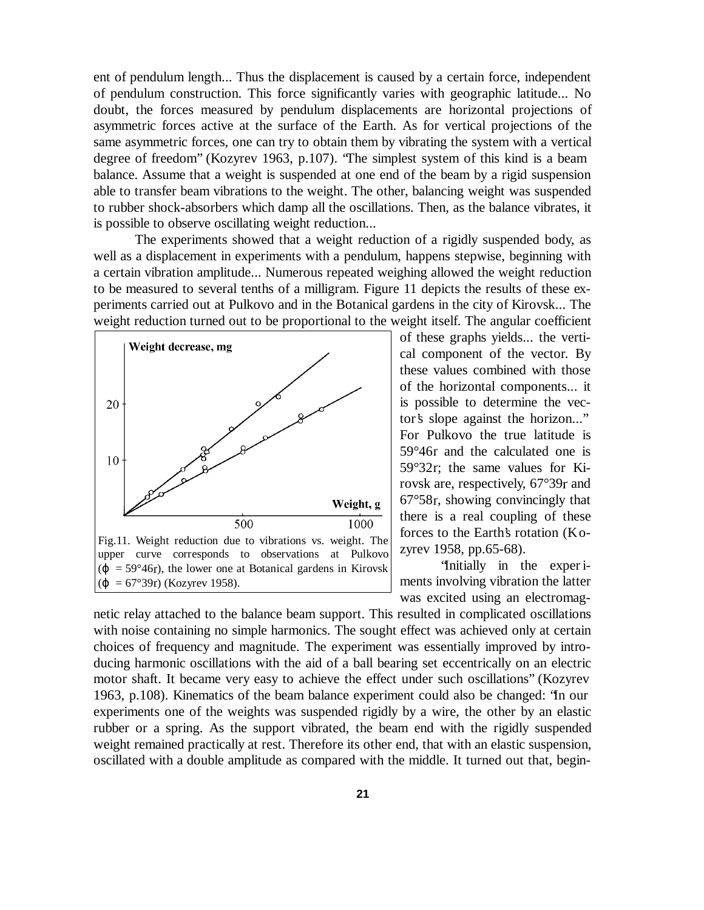ent of pendulum length... Thus the displacement is caused by a certain force, independent of pendulum construction. This force significantly varies with geographic latitude... No doubt, the forces measured by pendulum displacements are horizontal projections of asymmetric forces active at the surface of the Earth. As for vertical projections of the same asymmetric forces, one can try to obtain them by vibrating the system with a vertical degree of freedom" (Kozyrev 1963, p.107). "The simplest system of this kind is a beam balance. Assume that a weight is suspended at one end of the beam by a rigid suspension able to transfer beam vibrations to the weight. The other, balancing weight was suspended to rubber shock-absorbers which damp all the oscillations. Then, as the balance vibrates, it is possible to observe oscillating weight reduction...

The experiments showed that a weight reduction of a rigidly suspended body, as well as a displacement in experiments with a pendulum, happens stepwise, beginning with a certain vibration amplitude... Numerous repeated weighing allowed the weight reduction to be measured to several tenths of a milligram. Figure 11 depicts the results of these experiments carried out at Pulkovo and in the Botanical gardens in the city of Kirovsk... The weight reduction turned out to be proportional to the weight itself. The angular coefficient



of these graphs yields... the vertical component of the vector. By these values combined with those of the horizontal components... it is possible to determine the vector's slope against the horizon..." For Pulkovo the true latitude is  $59^{\circ}46r$  and the calculated one is 59°32; the same values for Kirovsk are, respectively, 67°39r and 67°58, showing convincingly that there is a real coupling of these forces to the Earth's rotation (Kozyrev 1958, pp.65-68).

"Initially in the exper iments involving vibration the latter was excited using an electromag-

netic relay attached to the balance beam support. This resulted in complicated oscillations with noise containing no simple harmonics. The sought effect was achieved only at certain choices of frequency and magnitude. The experiment was essentially improved by introducing harmonic oscillations with the aid of a ball bearing set eccentrically on an electric motor shaft. It became very easy to achieve the effect under such oscillations" (Kozyrev 1963, p.108). Kinematics of the beam balance experiment could also be changed: "In our experiments one of the weights was suspended rigidly by a wire, the other by an elastic rubber or a spring. As the support vibrated, the beam end with the rigidly suspended weight remained practically at rest. Therefore its other end, that with an elastic suspension, oscillated with a double amplitude as compared with the middle. It turned out that, begin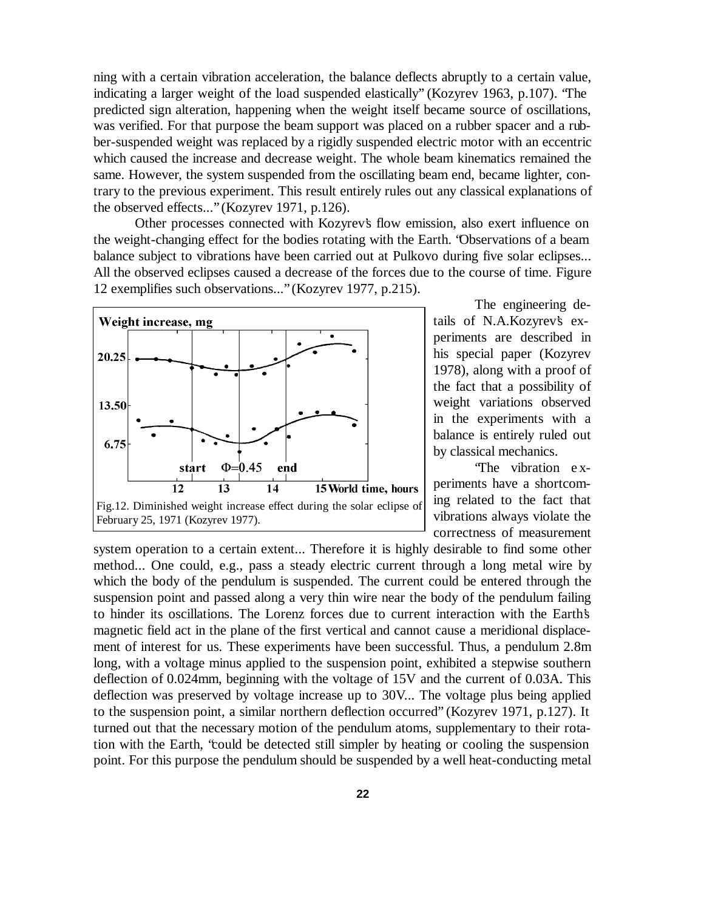ning with a certain vibration acceleration, the balance deflects abruptly to a certain value, indicating a larger weight of the load suspended elastically" (Kozyrev 1963, p.107). "The predicted sign alteration, happening when the weight itself became source of oscillations, was verified. For that purpose the beam support was placed on a rubber spacer and a rubber-suspended weight was replaced by a rigidly suspended electric motor with an eccentric which caused the increase and decrease weight. The whole beam kinematics remained the same. However, the system suspended from the oscillating beam end, became lighter, contrary to the previous experiment. This result entirely rules out any classical explanations of the observed effects..." (Kozyrev 1971, p.126).

Other processes connected with Kozyrev's flow emission, also exert influence on the weight-changing effect for the bodies rotating with the Earth. "Observations of a beam balance subject to vibrations have been carried out at Pulkovo during five solar eclipses... All the observed eclipses caused a decrease of the forces due to the course of time. Figure 12 exemplifies such observations..." (Kozyrev 1977, p.215).



The engineering details of N.A.Kozyrev's experiments are described in his special paper (Kozyrev 1978), along with a proof of the fact that a possibility of weight variations observed in the experiments with a balance is entirely ruled out by classical mechanics.

"The vibration e xperiments have a shortcoming related to the fact that vibrations always violate the correctness of measurement

system operation to a certain extent... Therefore it is highly desirable to find some other method... One could, e.g., pass a steady electric current through a long metal wire by which the body of the pendulum is suspended. The current could be entered through the suspension point and passed along a very thin wire near the body of the pendulum failing to hinder its oscillations. The Lorenz forces due to current interaction with the Earth's magnetic field act in the plane of the first vertical and cannot cause a meridional displacement of interest for us. These experiments have been successful. Thus, a pendulum 2.8m long, with a voltage minus applied to the suspension point, exhibited a stepwise southern deflection of 0.024mm, beginning with the voltage of 15V and the current of 0.03A. This deflection was preserved by voltage increase up to 30V... The voltage plus being applied to the suspension point, a similar northern deflection occurred" (Kozyrev 1971, p.127). It turned out that the necessary motion of the pendulum atoms, supplementary to their rotation with the Earth, "could be detected still simpler by heating or cooling the suspension point. For this purpose the pendulum should be suspended by a well heat-conducting metal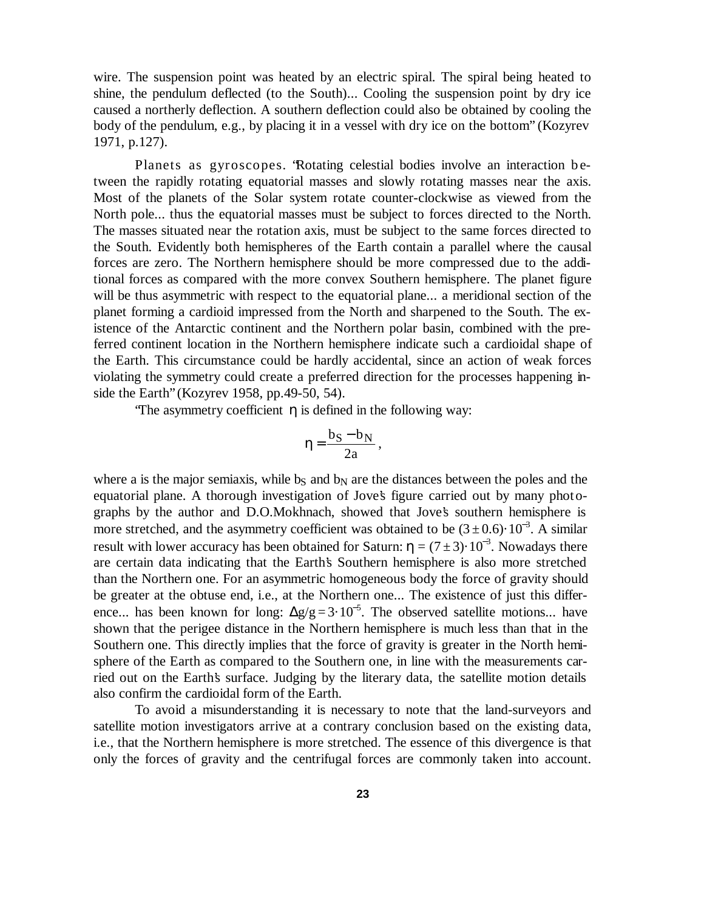wire. The suspension point was heated by an electric spiral. The spiral being heated to shine, the pendulum deflected (to the South)... Cooling the suspension point by dry ice caused a northerly deflection. A southern deflection could also be obtained by cooling the body of the pendulum, e.g., by placing it in a vessel with dry ice on the bottom" (Kozyrev 1971, p.127).

Planets as gyroscopes. 'Rotating celestial bodies involve an interaction between the rapidly rotating equatorial masses and slowly rotating masses near the axis. Most of the planets of the Solar system rotate counter-clockwise as viewed from the North pole... thus the equatorial masses must be subject to forces directed to the North. The masses situated near the rotation axis, must be subject to the same forces directed to the South. Evidently both hemispheres of the Earth contain a parallel where the causal forces are zero. The Northern hemisphere should be more compressed due to the additional forces as compared with the more convex Southern hemisphere. The planet figure will be thus asymmetric with respect to the equatorial plane... a meridional section of the planet forming a cardioid impressed from the North and sharpened to the South. The existence of the Antarctic continent and the Northern polar basin, combined with the preferred continent location in the Northern hemisphere indicate such a cardioidal shape of the Earth. This circumstance could be hardly accidental, since an action of weak forces violating the symmetry could create a preferred direction for the processes happening inside the Earth" (Kozyrev 1958, pp.49-50, 54).

"The asymmetry coefficient  $\eta$  is defined in the following way:

$$
\eta = \frac{b_S - b_N}{2a}
$$

,

where a is the major semiaxis, while  $b<sub>S</sub>$  and  $b<sub>N</sub>$  are the distances between the poles and the equatorial plane. A thorough investigation of Jove's figure carried out by many photographs by the author and D.O.Mokhnach, showed that Jove's southern hemisphere is more stretched, and the asymmetry coefficient was obtained to be  $(3 \pm 0.6) \cdot 10^{-3}$ . A similar result with lower accuracy has been obtained for Saturn:  $η = (7±3)·10<sup>-3</sup>$ . Nowadays there are certain data indicating that the Earth's Southern hemisphere is also more stretched than the Northern one. For an asymmetric homogeneous body the force of gravity should be greater at the obtuse end, i.e., at the Northern one... The existence of just this difference... has been known for long:  $\Delta g/g = 3.10^{-5}$ . The observed satellite motions... have shown that the perigee distance in the Northern hemisphere is much less than that in the Southern one. This directly implies that the force of gravity is greater in the North hemisphere of the Earth as compared to the Southern one, in line with the measurements carried out on the Earth's surface. Judging by the literary data, the satellite motion details also confirm the cardioidal form of the Earth.

To avoid a misunderstanding it is necessary to note that the land-surveyors and satellite motion investigators arrive at a contrary conclusion based on the existing data, i.e., that the Northern hemisphere is more stretched. The essence of this divergence is that only the forces of gravity and the centrifugal forces are commonly taken into account.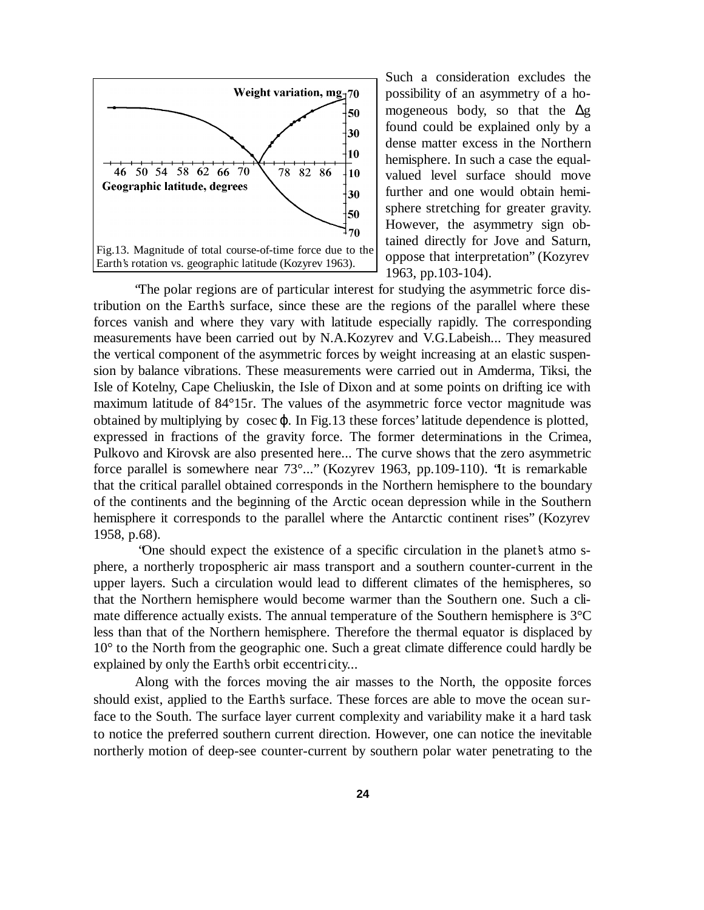

Such a consideration excludes the possibility of an asymmetry of a homogeneous body, so that the  $\Delta g$ found could be explained only by a dense matter excess in the Northern hemisphere. In such a case the equalvalued level surface should move further and one would obtain hemisphere stretching for greater gravity. However, the asymmetry sign obtained directly for Jove and Saturn, oppose that interpretation" (Kozyrev 1963, pp.103-104).

"The polar regions are of particular interest for studying the asymmetric force distribution on the Earth's surface, since these are the regions of the parallel where these forces vanish and where they vary with latitude especially rapidly. The corresponding measurements have been carried out by N.A.Kozyrev and V.G.Labeish... They measured the vertical component of the asymmetric forces by weight increasing at an elastic suspension by balance vibrations. These measurements were carried out in Amderma, Tiksi, the Isle of Kotelny, Cape Cheliuskin, the Isle of Dixon and at some points on drifting ice with maximum latitude of 84°15r. The values of the asymmetric force vector magnitude was obtained by multiplying by cosec ϕ. In Fig.13 these forces' latitude dependence is plotted, expressed in fractions of the gravity force. The former determinations in the Crimea, Pulkovo and Kirovsk are also presented here... The curve shows that the zero asymmetric force parallel is somewhere near 73°..." (Kozyrev 1963, pp.109-110). "It is remarkable that the critical parallel obtained corresponds in the Northern hemisphere to the boundary of the continents and the beginning of the Arctic ocean depression while in the Southern hemisphere it corresponds to the parallel where the Antarctic continent rises" (Kozyrev 1958, p.68).

"One should expect the existence of a specific circulation in the planet's atmo sphere, a northerly tropospheric air mass transport and a southern counter-current in the upper layers. Such a circulation would lead to different climates of the hemispheres, so that the Northern hemisphere would become warmer than the Southern one. Such a climate difference actually exists. The annual temperature of the Southern hemisphere is  $3^{\circ}C$ less than that of the Northern hemisphere. Therefore the thermal equator is displaced by 10° to the North from the geographic one. Such a great climate difference could hardly be explained by only the Earth's orbit eccentricity...

Along with the forces moving the air masses to the North, the opposite forces should exist, applied to the Earth's surface. These forces are able to move the ocean surface to the South. The surface layer current complexity and variability make it a hard task to notice the preferred southern current direction. However, one can notice the inevitable northerly motion of deep-see counter-current by southern polar water penetrating to the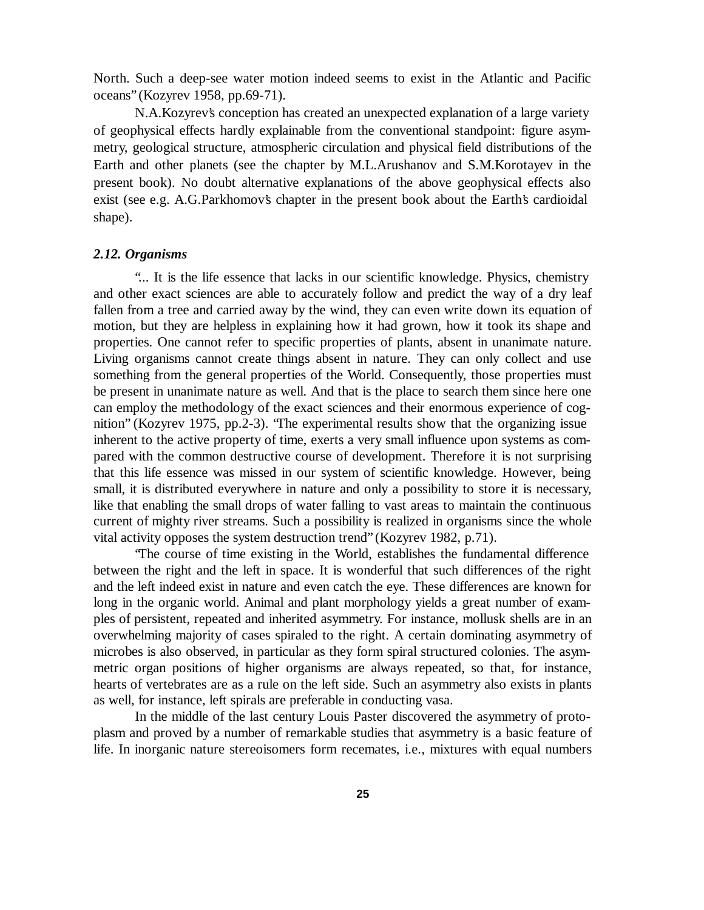North. Such a deep-see water motion indeed seems to exist in the Atlantic and Pacific oceans" (Kozyrev 1958, pp.69-71).

N.A.Kozyrev's conception has created an unexpected explanation of a large variety of geophysical effects hardly explainable from the conventional standpoint: figure asymmetry, geological structure, atmospheric circulation and physical field distributions of the Earth and other planets (see the chapter by M.L.Arushanov and S.M.Korotayev in the present book). No doubt alternative explanations of the above geophysical effects also exist (see e.g. A.G.Parkhomov's chapter in the present book about the Earth's cardioidal shape).

# *2.12. Organisms*

"... It is the life essence that lacks in our scientific knowledge. Physics, chemistry and other exact sciences are able to accurately follow and predict the way of a dry leaf fallen from a tree and carried away by the wind, they can even write down its equation of motion, but they are helpless in explaining how it had grown, how it took its shape and properties. One cannot refer to specific properties of plants, absent in unanimate nature. Living organisms cannot create things absent in nature. They can only collect and use something from the general properties of the World. Consequently, those properties must be present in unanimate nature as well. And that is the place to search them since here one can employ the methodology of the exact sciences and their enormous experience of cognition" (Kozyrev 1975, pp.2-3). "The experimental results show that the organizing issue inherent to the active property of time, exerts a very small influence upon systems as compared with the common destructive course of development. Therefore it is not surprising that this life essence was missed in our system of scientific knowledge. However, being small, it is distributed everywhere in nature and only a possibility to store it is necessary, like that enabling the small drops of water falling to vast areas to maintain the continuous current of mighty river streams. Such a possibility is realized in organisms since the whole vital activity opposes the system destruction trend" (Kozyrev 1982, p.71).

"The course of time existing in the World, establishes the fundamental difference between the right and the left in space. It is wonderful that such differences of the right and the left indeed exist in nature and even catch the eye. These differences are known for long in the organic world. Animal and plant morphology yields a great number of examples of persistent, repeated and inherited asymmetry. For instance, mollusk shells are in an overwhelming majority of cases spiraled to the right. A certain dominating asymmetry of microbes is also observed, in particular as they form spiral structured colonies. The asymmetric organ positions of higher organisms are always repeated, so that, for instance, hearts of vertebrates are as a rule on the left side. Such an asymmetry also exists in plants as well, for instance, left spirals are preferable in conducting vasa.

In the middle of the last century Louis Paster discovered the asymmetry of protoplasm and proved by a number of remarkable studies that asymmetry is a basic feature of life. In inorganic nature stereoisomers form recemates, i.e., mixtures with equal numbers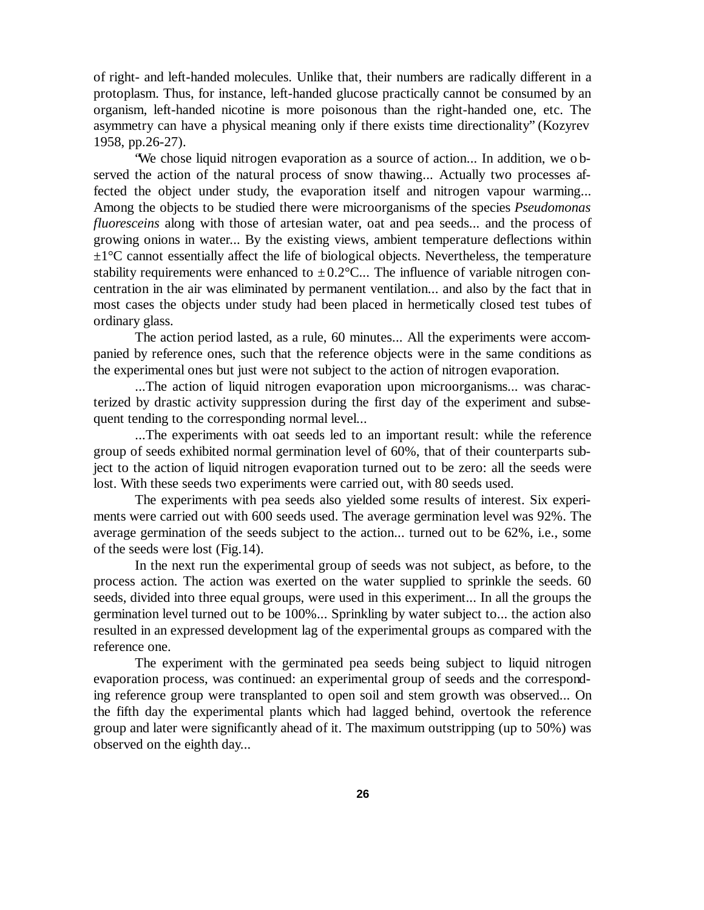of right- and left-handed molecules. Unlike that, their numbers are radically different in a protoplasm. Thus, for instance, left-handed glucose practically cannot be consumed by an organism, left-handed nicotine is more poisonous than the right-handed one, etc. The asymmetry can have a physical meaning only if there exists time directionality" (Kozyrev 1958, pp.26-27).

"We chose liquid nitrogen evaporation as a source of action... In addition, we o bserved the action of the natural process of snow thawing... Actually two processes affected the object under study, the evaporation itself and nitrogen vapour warming... Among the objects to be studied there were microorganisms of the species *Pseudomonas fluoresceins* along with those of artesian water, oat and pea seeds... and the process of growing onions in water... By the existing views, ambient temperature deflections within  $\pm 1^{\circ}$ C cannot essentially affect the life of biological objects. Nevertheless, the temperature stability requirements were enhanced to  $\pm 0.2$ °C... The influence of variable nitrogen concentration in the air was eliminated by permanent ventilation... and also by the fact that in most cases the objects under study had been placed in hermetically closed test tubes of ordinary glass.

The action period lasted, as a rule, 60 minutes... All the experiments were accompanied by reference ones, such that the reference objects were in the same conditions as the experimental ones but just were not subject to the action of nitrogen evaporation.

...The action of liquid nitrogen evaporation upon microorganisms... was characterized by drastic activity suppression during the first day of the experiment and subsequent tending to the corresponding normal level...

...The experiments with oat seeds led to an important result: while the reference group of seeds exhibited normal germination level of 60%, that of their counterparts subject to the action of liquid nitrogen evaporation turned out to be zero: all the seeds were lost. With these seeds two experiments were carried out, with 80 seeds used.

The experiments with pea seeds also yielded some results of interest. Six experiments were carried out with 600 seeds used. The average germination level was 92%. The average germination of the seeds subject to the action... turned out to be 62%, i.e., some of the seeds were lost (Fig.14).

In the next run the experimental group of seeds was not subject, as before, to the process action. The action was exerted on the water supplied to sprinkle the seeds. 60 seeds, divided into three equal groups, were used in this experiment... In all the groups the germination level turned out to be 100%... Sprinkling by water subject to... the action also resulted in an expressed development lag of the experimental groups as compared with the reference one.

The experiment with the germinated pea seeds being subject to liquid nitrogen evaporation process, was continued: an experimental group of seeds and the corresponding reference group were transplanted to open soil and stem growth was observed... On the fifth day the experimental plants which had lagged behind, overtook the reference group and later were significantly ahead of it. The maximum outstripping (up to 50%) was observed on the eighth day...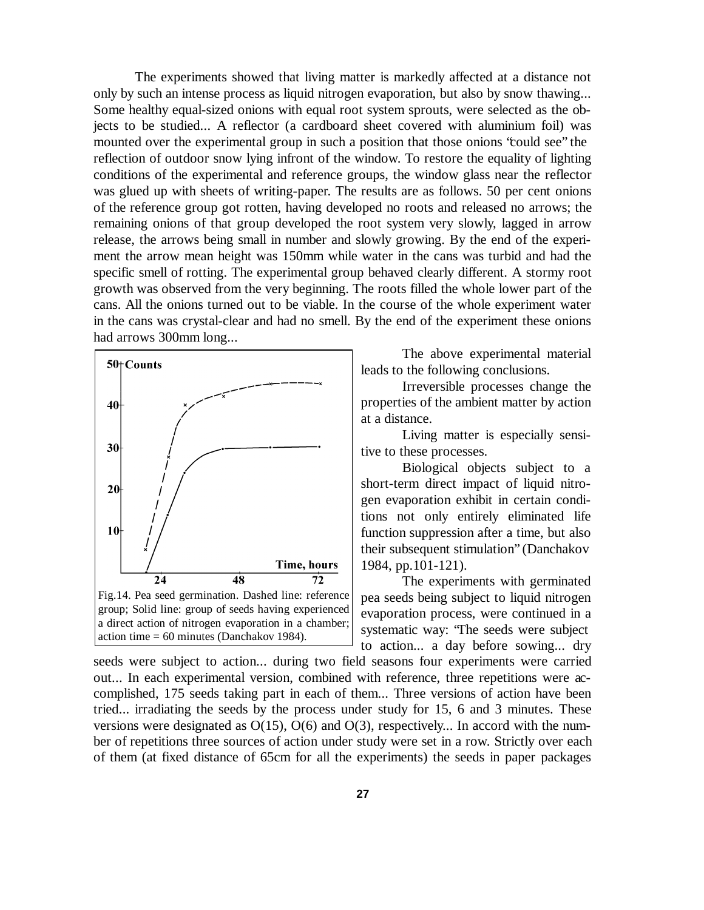The experiments showed that living matter is markedly affected at a distance not only by such an intense process as liquid nitrogen evaporation, but also by snow thawing... Some healthy equal-sized onions with equal root system sprouts, were selected as the objects to be studied... A reflector (a cardboard sheet covered with aluminium foil) was mounted over the experimental group in such a position that those onions "could see" the reflection of outdoor snow lying infront of the window. To restore the equality of lighting conditions of the experimental and reference groups, the window glass near the reflector was glued up with sheets of writing-paper. The results are as follows. 50 per cent onions of the reference group got rotten, having developed no roots and released no arrows; the remaining onions of that group developed the root system very slowly, lagged in arrow release, the arrows being small in number and slowly growing. By the end of the experiment the arrow mean height was 150mm while water in the cans was turbid and had the specific smell of rotting. The experimental group behaved clearly different. A stormy root growth was observed from the very beginning. The roots filled the whole lower part of the cans. All the onions turned out to be viable. In the course of the whole experiment water in the cans was crystal-clear and had no smell. By the end of the experiment these onions had arrows 300mm long...



group; Solid line: group of seeds having experienced a direct action of nitrogen evaporation in a chamber; action time = 60 minutes (Danchakov 1984).

The above experimental material leads to the following conclusions.

Irreversible processes change the properties of the ambient matter by action at a distance.

Living matter is especially sensitive to these processes.

Biological objects subject to a short-term direct impact of liquid nitrogen evaporation exhibit in certain conditions not only entirely eliminated life function suppression after a time, but also their subsequent stimulation" (Danchakov 1984, pp.101-121).

The experiments with germinated pea seeds being subject to liquid nitrogen evaporation process, were continued in a systematic way: "The seeds were subject to action... a day before sowing... dry

seeds were subject to action... during two field seasons four experiments were carried out... In each experimental version, combined with reference, three repetitions were accomplished, 175 seeds taking part in each of them... Three versions of action have been tried... irradiating the seeds by the process under study for 15, 6 and 3 minutes. These versions were designated as  $O(15)$ ,  $O(6)$  and  $O(3)$ , respectively... In accord with the number of repetitions three sources of action under study were set in a row. Strictly over each of them (at fixed distance of 65cm for all the experiments) the seeds in paper packages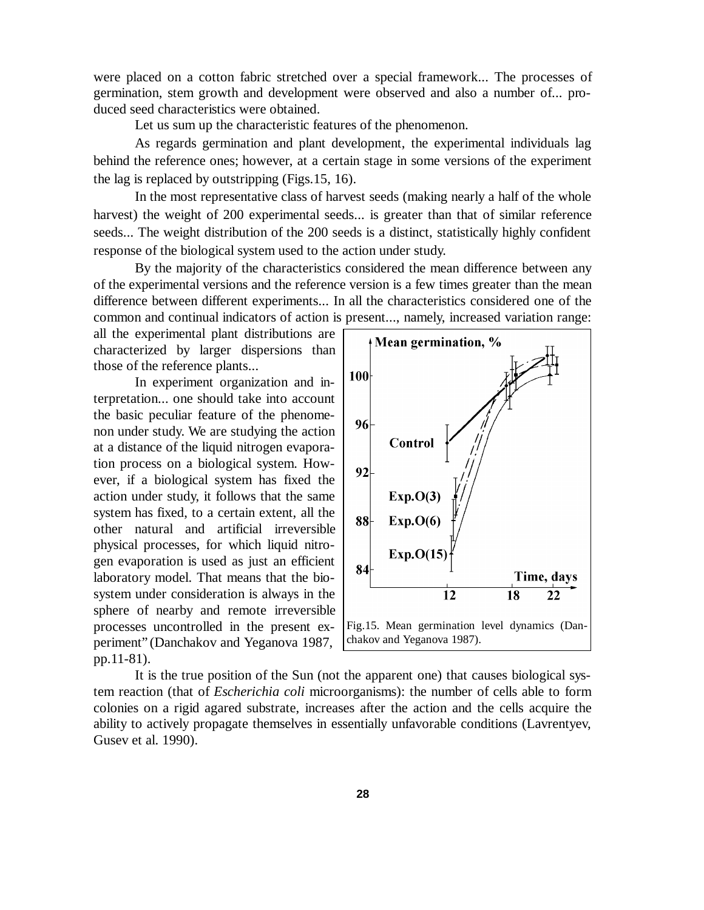were placed on a cotton fabric stretched over a special framework... The processes of germination, stem growth and development were observed and also a number of... produced seed characteristics were obtained.

Let us sum up the characteristic features of the phenomenon.

As regards germination and plant development, the experimental individuals lag behind the reference ones; however, at a certain stage in some versions of the experiment the lag is replaced by outstripping (Figs.15, 16).

In the most representative class of harvest seeds (making nearly a half of the whole harvest) the weight of 200 experimental seeds... is greater than that of similar reference seeds... The weight distribution of the 200 seeds is a distinct, statistically highly confident response of the biological system used to the action under study.

By the majority of the characteristics considered the mean difference between any of the experimental versions and the reference version is a few times greater than the mean difference between different experiments... In all the characteristics considered one of the common and continual indicators of action is present..., namely, increased variation range:

all the experimental plant distributions are characterized by larger dispersions than those of the reference plants...

In experiment organization and interpretation... one should take into account the basic peculiar feature of the phenomenon under study. We are studying the action at a distance of the liquid nitrogen evaporation process on a biological system. However, if a biological system has fixed the action under study, it follows that the same system has fixed, to a certain extent, all the other natural and artificial irreversible physical processes, for which liquid nitrogen evaporation is used as just an efficient laboratory model. That means that the biosystem under consideration is always in the sphere of nearby and remote irreversible processes uncontrolled in the present experiment" (Danchakov and Yeganova 1987, pp.11-81).



Fig.15. Mean germination level dynamics (Danchakov and Yeganova 1987).

It is the true position of the Sun (not the apparent one) that causes biological system reaction (that of *Escherichia coli* microorganisms): the number of cells able to form colonies on a rigid agared substrate, increases after the action and the cells acquire the ability to actively propagate themselves in essentially unfavorable conditions (Lavrentyev, Gusev et al. 1990).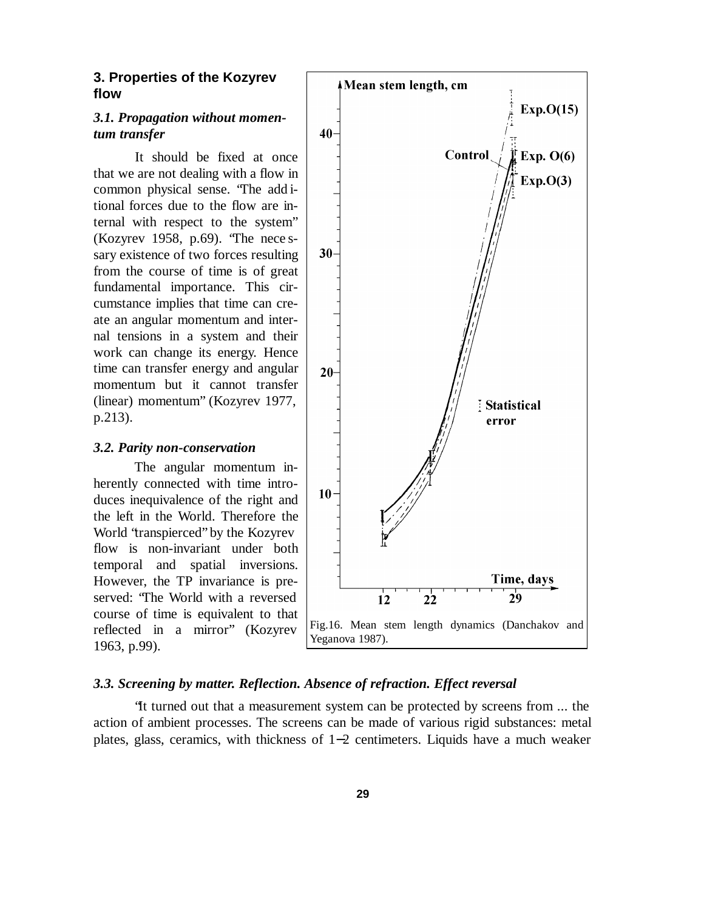# **3. Properties of the Kozyrev flow**

# *3.1. Propagation without momentum transfer*

It should be fixed at once that we are not dealing with a flow in common physical sense. "The add itional forces due to the flow are internal with respect to the system" (Kozyrev 1958, p.69). "The nece ssary existence of two forces resulting from the course of time is of great fundamental importance. This circumstance implies that time can create an angular momentum and internal tensions in a system and their work can change its energy. Hence time can transfer energy and angular momentum but it cannot transfer (linear) momentum" (Kozyrev 1977, p.213).

#### *3.2. Parity non-conservation*

The angular momentum inherently connected with time introduces inequivalence of the right and the left in the World. Therefore the World "transpierced" by the Kozyrev flow is non-invariant under both temporal and spatial inversions. However, the TP invariance is preserved: "The World with a reversed course of time is equivalent to that reflected in a mirror" (Kozyrev 1963, p.99).



# *3.3. Screening by matter. Reflection. Absence of refraction. Effect reversal*

"It turned out that a measurement system can be protected by screens from ... the action of ambient processes. The screens can be made of various rigid substances: metal plates, glass, ceramics, with thickness of 1−2 centimeters. Liquids have a much weaker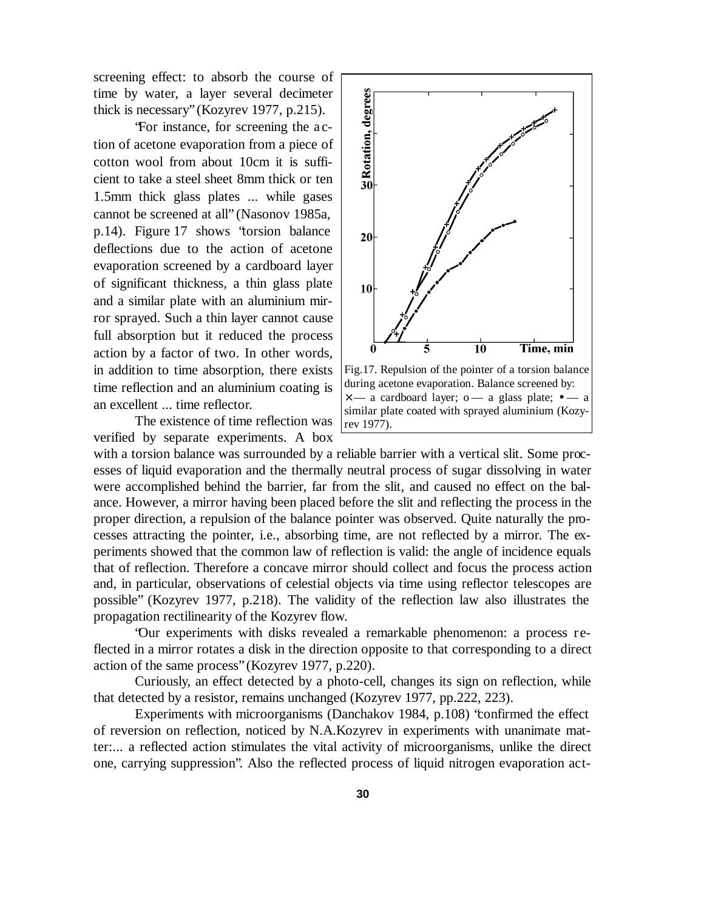screening effect: to absorb the course of time by water, a layer several decimeter thick is necessary" (Kozyrev 1977, p.215).

"For instance, for screening the a ction of acetone evaporation from a piece of cotton wool from about 10cm it is sufficient to take a steel sheet 8mm thick or ten 1.5mm thick glass plates ... while gases cannot be screened at all" (Nasonov 1985a, p.14). Figure 17 shows "torsion balance deflections due to the action of acetone evaporation screened by a cardboard layer of significant thickness, a thin glass plate and a similar plate with an aluminium mirror sprayed. Such a thin layer cannot cause full absorption but it reduced the process action by a factor of two. In other words, in addition to time absorption, there exists time reflection and an aluminium coating is an excellent ... time reflector.

The existence of time reflection was verified by separate experiments. A box



with a torsion balance was surrounded by a reliable barrier with a vertical slit. Some processes of liquid evaporation and the thermally neutral process of sugar dissolving in water were accomplished behind the barrier, far from the slit, and caused no effect on the balance. However, a mirror having been placed before the slit and reflecting the process in the proper direction, a repulsion of the balance pointer was observed. Quite naturally the processes attracting the pointer, i.e., absorbing time, are not reflected by a mirror. The experiments showed that the common law of reflection is valid: the angle of incidence equals that of reflection. Therefore a concave mirror should collect and focus the process action and, in particular, observations of celestial objects via time using reflector telescopes are possible" (Kozyrev 1977, p.218). The validity of the reflection law also illustrates the propagation rectilinearity of the Kozyrev flow.

"Our experiments with disks revealed a remarkable phenomenon: a process reflected in a mirror rotates a disk in the direction opposite to that corresponding to a direct action of the same process" (Kozyrev 1977, p.220).

Curiously, an effect detected by a photo-cell, changes its sign on reflection, while that detected by a resistor, remains unchanged (Kozyrev 1977, pp.222, 223).

Experiments with microorganisms (Danchakov 1984, p.108) "confirmed the effect of reversion on reflection, noticed by N.A.Kozyrev in experiments with unanimate matter:... a reflected action stimulates the vital activity of microorganisms, unlike the direct one, carrying suppression". Also the reflected process of liquid nitrogen evaporation act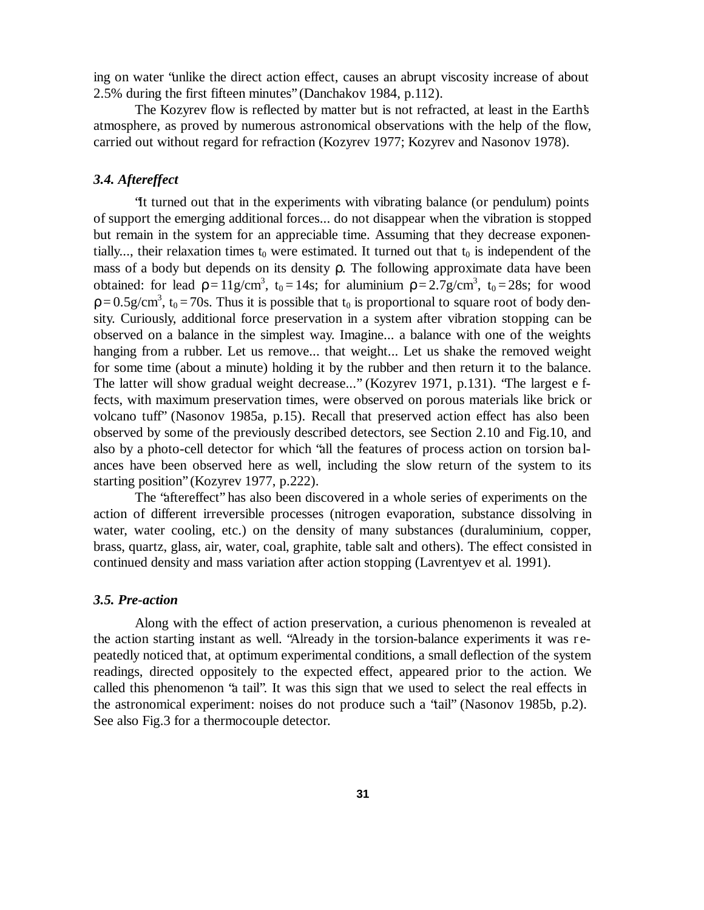ing on water "unlike the direct action effect, causes an abrupt viscosity increase of about 2.5% during the first fifteen minutes" (Danchakov 1984, p.112).

The Kozyrev flow is reflected by matter but is not refracted, at least in the Earth's atmosphere, as proved by numerous astronomical observations with the help of the flow, carried out without regard for refraction (Kozyrev 1977; Kozyrev and Nasonov 1978).

# *3.4. Aftereffect*

"It turned out that in the experiments with vibrating balance (or pendulum) points of support the emerging additional forces... do not disappear when the vibration is stopped but remain in the system for an appreciable time. Assuming that they decrease exponentially..., their relaxation times  $t_0$  were estimated. It turned out that  $t_0$  is independent of the mass of a body but depends on its density ρ. The following approximate data have been obtained: for lead  $p = 11g/cm^3$ ,  $t_0 = 14s$ ; for aluminium  $p = 2.7g/cm^3$ ,  $t_0 = 28s$ ; for wood  $p=0.5g/cm^3$ ,  $t_0 = 70s$ . Thus it is possible that  $t_0$  is proportional to square root of body density. Curiously, additional force preservation in a system after vibration stopping can be observed on a balance in the simplest way. Imagine... a balance with one of the weights hanging from a rubber. Let us remove... that weight... Let us shake the removed weight for some time (about a minute) holding it by the rubber and then return it to the balance. The latter will show gradual weight decrease..." (Kozyrev 1971, p.131). "The largest e ffects, with maximum preservation times, were observed on porous materials like brick or volcano tuff" (Nasonov 1985a, p.15). Recall that preserved action effect has also been observed by some of the previously described detectors, see Section 2.10 and Fig.10, and also by a photo-cell detector for which "all the features of process action on torsion balances have been observed here as well, including the slow return of the system to its starting position" (Kozyrev 1977, p.222).

The "aftereffect" has also been discovered in a whole series of experiments on the action of different irreversible processes (nitrogen evaporation, substance dissolving in water, water cooling, etc.) on the density of many substances (duraluminium, copper, brass, quartz, glass, air, water, coal, graphite, table salt and others). The effect consisted in continued density and mass variation after action stopping (Lavrentyev et al. 1991).

# *3.5. Pre-action*

Along with the effect of action preservation, a curious phenomenon is revealed at the action starting instant as well. "Already in the torsion-balance experiments it was r epeatedly noticed that, at optimum experimental conditions, a small deflection of the system readings, directed oppositely to the expected effect, appeared prior to the action. We called this phenomenon "a tail". It was this sign that we used to select the real effects in the astronomical experiment: noises do not produce such a "tail" (Nasonov 1985b, p.2). See also Fig.3 for a thermocouple detector.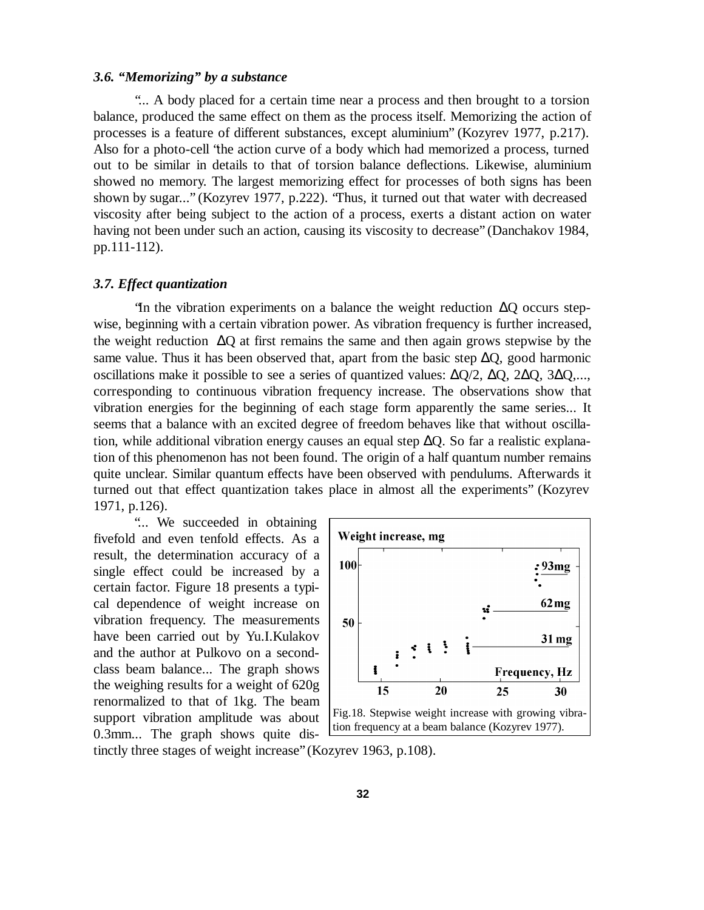# *3.6. "Memorizing" by a substance*

"... A body placed for a certain time near a process and then brought to a torsion balance, produced the same effect on them as the process itself. Memorizing the action of processes is a feature of different substances, except aluminium" (Kozyrev 1977, p.217). Also for a photo-cell "the action curve of a body which had memorized a process, turned out to be similar in details to that of torsion balance deflections. Likewise, aluminium showed no memory. The largest memorizing effect for processes of both signs has been shown by sugar..." (Kozyrev 1977, p.222). "Thus, it turned out that water with decreased viscosity after being subject to the action of a process, exerts a distant action on water having not been under such an action, causing its viscosity to decrease" (Danchakov 1984, pp.111-112).

#### *3.7. Effect quantization*

"In the vibration experiments on a balance the weight reduction ∆Q occurs stepwise, beginning with a certain vibration power. As vibration frequency is further increased, the weight reduction ∆Q at first remains the same and then again grows stepwise by the same value. Thus it has been observed that, apart from the basic step  $\Delta Q$ , good harmonic oscillations make it possible to see a series of quantized values: ∆Q/2, ∆Q, 2∆Q, 3∆Q,..., corresponding to continuous vibration frequency increase. The observations show that vibration energies for the beginning of each stage form apparently the same series... It seems that a balance with an excited degree of freedom behaves like that without oscillation, while additional vibration energy causes an equal step ∆Q. So far a realistic explanation of this phenomenon has not been found. The origin of a half quantum number remains quite unclear. Similar quantum effects have been observed with pendulums. Afterwards it turned out that effect quantization takes place in almost all the experiments" (Kozyrev 1971, p.126).

"... We succeeded in obtaining fivefold and even tenfold effects. As a result, the determination accuracy of a single effect could be increased by a certain factor. Figure 18 presents a typical dependence of weight increase on vibration frequency. The measurements have been carried out by Yu.I.Kulakov and the author at Pulkovo on a secondclass beam balance... The graph shows the weighing results for a weight of 620g renormalized to that of 1kg. The beam support vibration amplitude was about 0.3mm... The graph shows quite dis-



tinctly three stages of weight increase" (Kozyrev 1963, p.108).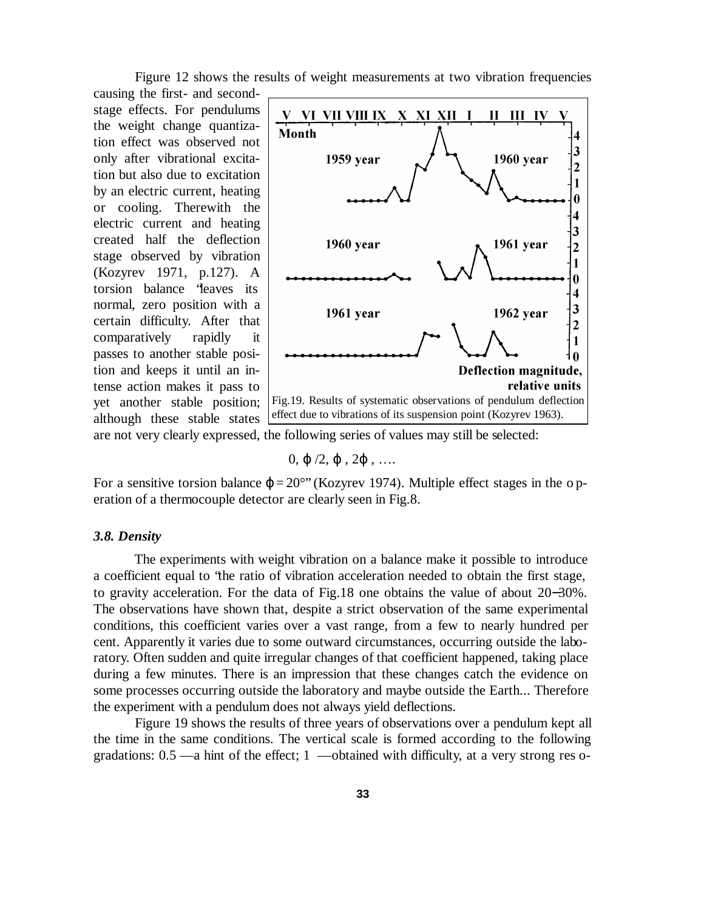Figure 12 shows the results of weight measurements at two vibration frequencies

causing the first- and secondstage effects. For pendulums the weight change quantization effect was observed not only after vibrational excitation but also due to excitation by an electric current, heating or cooling. Therewith the electric current and heating created half the deflection stage observed by vibration (Kozyrev 1971, p.127). A torsion balance "leaves its normal, zero position with a certain difficulty. After that comparatively rapidly it passes to another stable position and keeps it until an intense action makes it pass to yet another stable position; although these stable states



are not very clearly expressed, the following series of values may still be selected:

$$
0, \varphi/2, \varphi, 2\varphi, \ldots
$$

For a sensitive torsion balance  $\varphi = 20^{\circ\circ}$  (Kozyrev 1974). Multiple effect stages in the operation of a thermocouple detector are clearly seen in Fig.8.

# *3.8. Density*

The experiments with weight vibration on a balance make it possible to introduce a coefficient equal to "the ratio of vibration acceleration needed to obtain the first stage, to gravity acceleration. For the data of Fig.18 one obtains the value of about 20−30%. The observations have shown that, despite a strict observation of the same experimental conditions, this coefficient varies over a vast range, from a few to nearly hundred per cent. Apparently it varies due to some outward circumstances, occurring outside the laboratory. Often sudden and quite irregular changes of that coefficient happened, taking place during a few minutes. There is an impression that these changes catch the evidence on some processes occurring outside the laboratory and maybe outside the Earth... Therefore the experiment with a pendulum does not always yield deflections.

Figure 19 shows the results of three years of observations over a pendulum kept all the time in the same conditions. The vertical scale is formed according to the following gradations:  $0.5$  —a hint of the effect; 1 —obtained with difficulty, at a very strong reso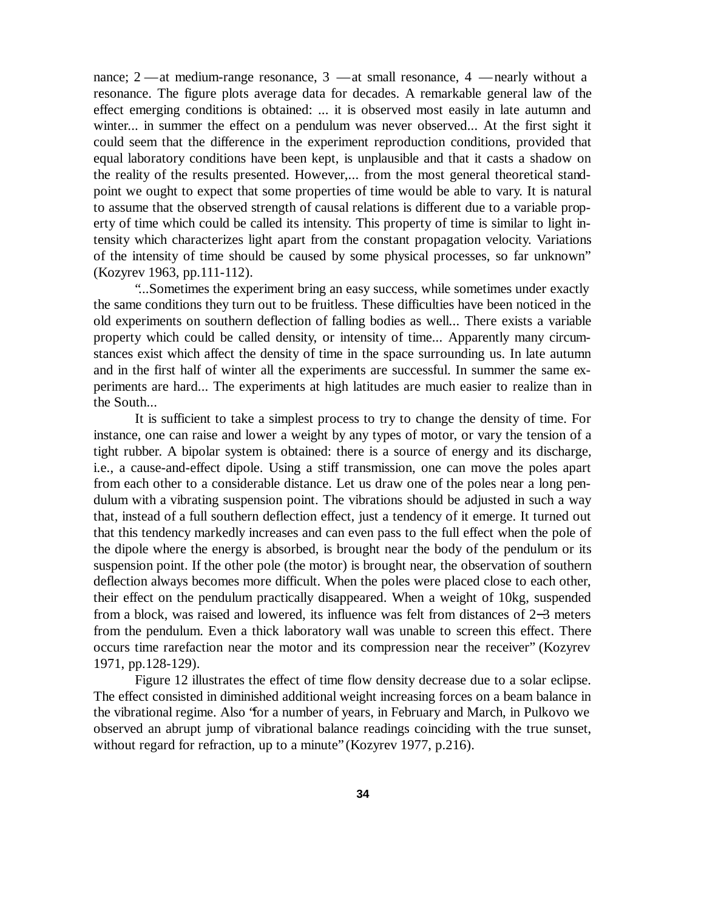nance; 2 —at medium-range resonance, 3 —at small resonance, 4 —nearly without a resonance. The figure plots average data for decades. A remarkable general law of the effect emerging conditions is obtained: ... it is observed most easily in late autumn and winter... in summer the effect on a pendulum was never observed... At the first sight it could seem that the difference in the experiment reproduction conditions, provided that equal laboratory conditions have been kept, is unplausible and that it casts a shadow on the reality of the results presented. However,... from the most general theoretical standpoint we ought to expect that some properties of time would be able to vary. It is natural to assume that the observed strength of causal relations is different due to a variable property of time which could be called its intensity. This property of time is similar to light intensity which characterizes light apart from the constant propagation velocity. Variations of the intensity of time should be caused by some physical processes, so far unknown" (Kozyrev 1963, pp.111-112).

"...Sometimes the experiment bring an easy success, while sometimes under exactly the same conditions they turn out to be fruitless. These difficulties have been noticed in the old experiments on southern deflection of falling bodies as well... There exists a variable property which could be called density, or intensity of time... Apparently many circumstances exist which affect the density of time in the space surrounding us. In late autumn and in the first half of winter all the experiments are successful. In summer the same experiments are hard... The experiments at high latitudes are much easier to realize than in the South...

It is sufficient to take a simplest process to try to change the density of time. For instance, one can raise and lower a weight by any types of motor, or vary the tension of a tight rubber. A bipolar system is obtained: there is a source of energy and its discharge, i.e., a cause-and-effect dipole. Using a stiff transmission, one can move the poles apart from each other to a considerable distance. Let us draw one of the poles near a long pendulum with a vibrating suspension point. The vibrations should be adjusted in such a way that, instead of a full southern deflection effect, just a tendency of it emerge. It turned out that this tendency markedly increases and can even pass to the full effect when the pole of the dipole where the energy is absorbed, is brought near the body of the pendulum or its suspension point. If the other pole (the motor) is brought near, the observation of southern deflection always becomes more difficult. When the poles were placed close to each other, their effect on the pendulum practically disappeared. When a weight of 10kg, suspended from a block, was raised and lowered, its influence was felt from distances of 2−3 meters from the pendulum. Even a thick laboratory wall was unable to screen this effect. There occurs time rarefaction near the motor and its compression near the receiver" (Kozyrev 1971, pp.128-129).

Figure 12 illustrates the effect of time flow density decrease due to a solar eclipse. The effect consisted in diminished additional weight increasing forces on a beam balance in the vibrational regime. Also "for a number of years, in February and March, in Pulkovo we observed an abrupt jump of vibrational balance readings coinciding with the true sunset, without regard for refraction, up to a minute" (Kozyrev 1977, p.216).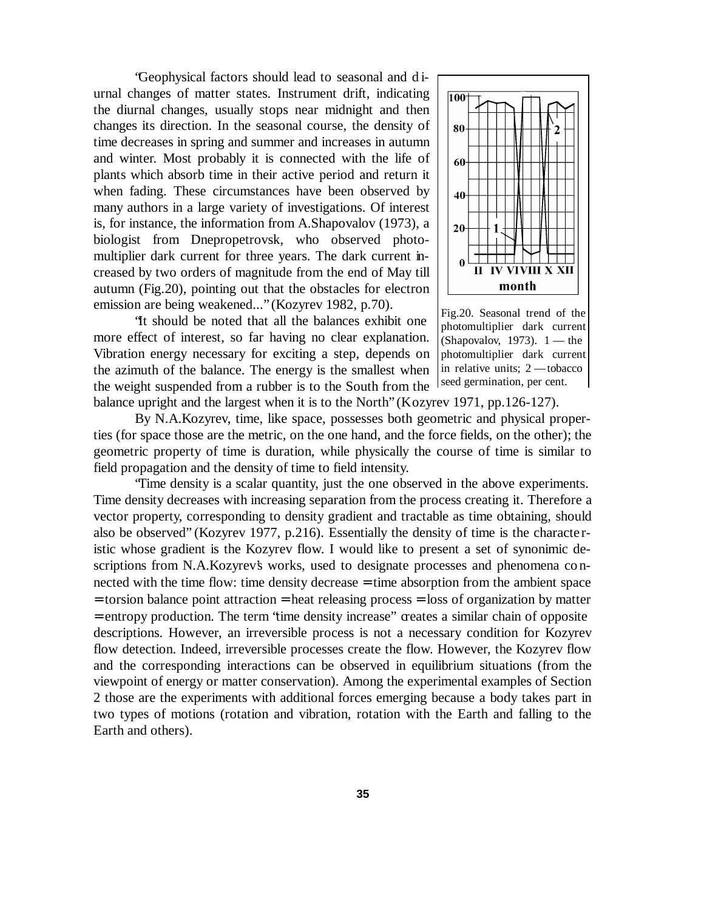"Geophysical factors should lead to seasonal and d iurnal changes of matter states. Instrument drift, indicating the diurnal changes, usually stops near midnight and then changes its direction. In the seasonal course, the density of time decreases in spring and summer and increases in autumn and winter. Most probably it is connected with the life of plants which absorb time in their active period and return it when fading. These circumstances have been observed by many authors in a large variety of investigations. Of interest is, for instance, the information from A.Shapovalov (1973), a biologist from Dnepropetrovsk, who observed photomultiplier dark current for three years. The dark current increased by two orders of magnitude from the end of May till autumn (Fig.20), pointing out that the obstacles for electron emission are being weakened..." (Kozyrev 1982, p.70).

"It should be noted that all the balances exhibit one more effect of interest, so far having no clear explanation. Vibration energy necessary for exciting a step, depends on the azimuth of the balance. The energy is the smallest when the weight suspended from a rubber is to the South from the balance upright and the largest when it is to the North" (Kozyrev 1971, pp.126-127).

By N.A.Kozyrev, time, like space, possesses both geometric and physical properties (for space those are the metric, on the one hand, and the force fields, on the other); the geometric property of time is duration, while physically the course of time is similar to field propagation and the density of time to field intensity.

"Time density is a scalar quantity, just the one observed in the above experiments. Time density decreases with increasing separation from the process creating it. Therefore a vector property, corresponding to density gradient and tractable as time obtaining, should also be observed" (Kozyrev 1977, p.216). Essentially the density of time is the characte ristic whose gradient is the Kozyrev flow. I would like to present a set of synonimic descriptions from N.A.Kozyrev's works, used to designate processes and phenomena co nnected with the time flow: time density decrease = time absorption from the ambient space = torsion balance point attraction = heat releasing process = loss of organization by matter = entropy production. The term "time density increase" creates a similar chain of opposite descriptions. However, an irreversible process is not a necessary condition for Kozyrev flow detection. Indeed, irreversible processes create the flow. However, the Kozyrev flow and the corresponding interactions can be observed in equilibrium situations (from the viewpoint of energy or matter conservation). Among the experimental examples of Section 2 those are the experiments with additional forces emerging because a body takes part in two types of motions (rotation and vibration, rotation with the Earth and falling to the Earth and others).



Fig.20. Seasonal trend of the photomultiplier dark current (Shapovalov, 1973).  $1$  — the photomultiplier dark current in relative units; 2 —tobacco seed germination, per cent.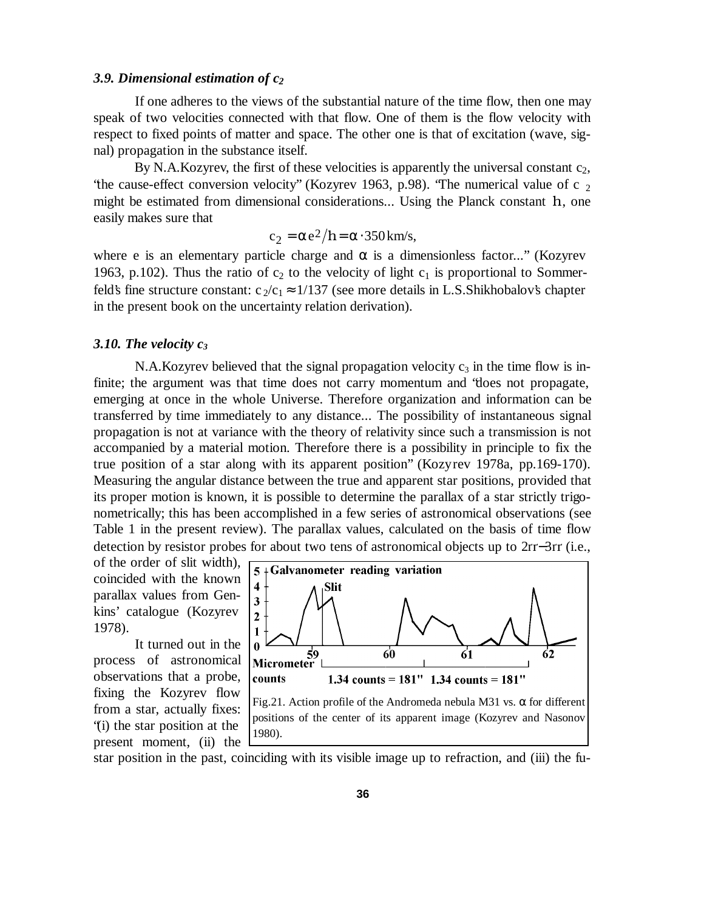# *3.9. Dimensional estimation of c<sup>2</sup>*

If one adheres to the views of the substantial nature of the time flow, then one may speak of two velocities connected with that flow. One of them is the flow velocity with respect to fixed points of matter and space. The other one is that of excitation (wave, signal) propagation in the substance itself.

By N.A.Kozyrev, the first of these velocities is apparently the universal constant  $c_2$ , "the cause-effect conversion velocity" (Kozyrev 1963, p.98). "The numerical value of c  $_2$ might be estimated from dimensional considerations... Using the Planck constant h, one easily makes sure that

$$
c_2 = \alpha e^2/h = \alpha \cdot 350 \,\mathrm{km/s},
$$

where e is an elementary particle charge and  $\alpha$  is a dimensionless factor..." (Kozyrev 1963, p.102). Thus the ratio of  $c_2$  to the velocity of light  $c_1$  is proportional to Sommerfeld's fine structure constant:  $c_2/c_1 \approx 1/137$  (see more details in L.S.Shikhobalov's chapter in the present book on the uncertainty relation derivation).

# *3.10. The velocity c<sup>3</sup>*

N.A.Kozyrev believed that the signal propagation velocity  $c_3$  in the time flow is infinite; the argument was that time does not carry momentum and "does not propagate, emerging at once in the whole Universe. Therefore organization and information can be transferred by time immediately to any distance... The possibility of instantaneous signal propagation is not at variance with the theory of relativity since such a transmission is not accompanied by a material motion. Therefore there is a possibility in principle to fix the true position of a star along with its apparent position" (Kozyrev 1978a, pp.169-170). Measuring the angular distance between the true and apparent star positions, provided that its proper motion is known, it is possible to determine the parallax of a star strictly trigonometrically; this has been accomplished in a few series of astronomical observations (see Table 1 in the present review). The parallax values, calculated on the basis of time flow detection by resistor probes for about two tens of astronomical objects up to 2rr–3rr (i.e.,

of the order of slit width), coincided with the known parallax values from Genkins' catalogue (Kozyrev 1978).

It turned out in the process of astronomical observations that a probe, fixing the Kozyrev flow from a star, actually fixes: "(i) the star position at the present moment, (ii) the



star position in the past, coinciding with its visible image up to refraction, and (iii) the fu-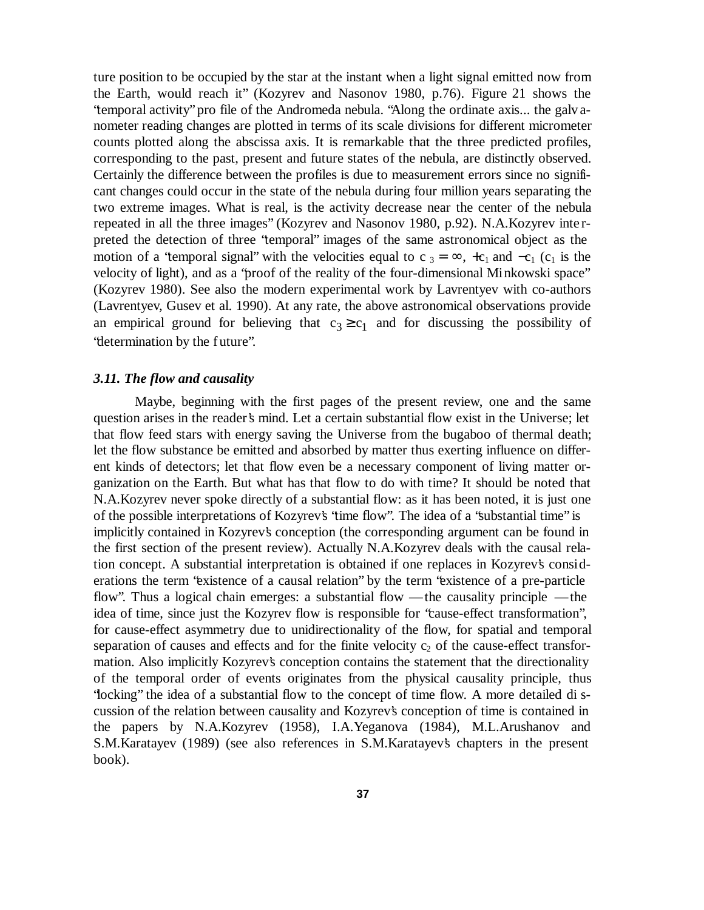ture position to be occupied by the star at the instant when a light signal emitted now from the Earth, would reach it" (Kozyrev and Nasonov 1980, p.76). Figure 21 shows the "temporal activity" pro file of the Andromeda nebula. "Along the ordinate axis... the galv anometer reading changes are plotted in terms of its scale divisions for different micrometer counts plotted along the abscissa axis. It is remarkable that the three predicted profiles, corresponding to the past, present and future states of the nebula, are distinctly observed. Certainly the difference between the profiles is due to measurement errors since no significant changes could occur in the state of the nebula during four million years separating the two extreme images. What is real, is the activity decrease near the center of the nebula repeated in all the three images" (Kozyrev and Nasonov 1980, p.92). N.A.Kozyrev inte rpreted the detection of three "temporal" images of the same astronomical object as the motion of a "temporal signal" with the velocities equal to c  $_3 = \infty$ , +c<sub>1</sub> and −c<sub>1</sub> (c<sub>1</sub> is the velocity of light), and as a "proof of the reality of the four-dimensional Minkowski space" (Kozyrev 1980). See also the modern experimental work by Lavrentyev with co-authors (Lavrentyev, Gusev et al. 1990). At any rate, the above astronomical observations provide an empirical ground for believing that  $c_3 \ge c_1$  and for discussing the possibility of "determination by the future".

# *3.11. The flow and causality*

Maybe, beginning with the first pages of the present review, one and the same question arises in the reader's mind. Let a certain substantial flow exist in the Universe; let that flow feed stars with energy saving the Universe from the bugaboo of thermal death; let the flow substance be emitted and absorbed by matter thus exerting influence on different kinds of detectors; let that flow even be a necessary component of living matter organization on the Earth. But what has that flow to do with time? It should be noted that N.A.Kozyrev never spoke directly of a substantial flow: as it has been noted, it is just one of the possible interpretations of Kozyrev's "time flow". The idea of a "substantial time" is implicitly contained in Kozyrev's conception (the corresponding argument can be found in the first section of the present review). Actually N.A.Kozyrev deals with the causal relation concept. A substantial interpretation is obtained if one replaces in Kozyrev's considerations the term "existence of a causal relation" by the term "existence of a pre-particle flow". Thus a logical chain emerges: a substantial flow —the causality principle —the idea of time, since just the Kozyrev flow is responsible for "cause-effect transformation", for cause-effect asymmetry due to unidirectionality of the flow, for spatial and temporal separation of causes and effects and for the finite velocity  $c<sub>2</sub>$  of the cause-effect transformation. Also implicitly Kozyrev's conception contains the statement that the directionality of the temporal order of events originates from the physical causality principle, thus "locking" the idea of a substantial flow to the concept of time flow. A more detailed di scussion of the relation between causality and Kozyrev's conception of time is contained in the papers by N.A.Kozyrev (1958), I.A.Yeganova (1984), M.L.Arushanov and S.M.Karatayev (1989) (see also references in S.M.Karatayev's chapters in the present book).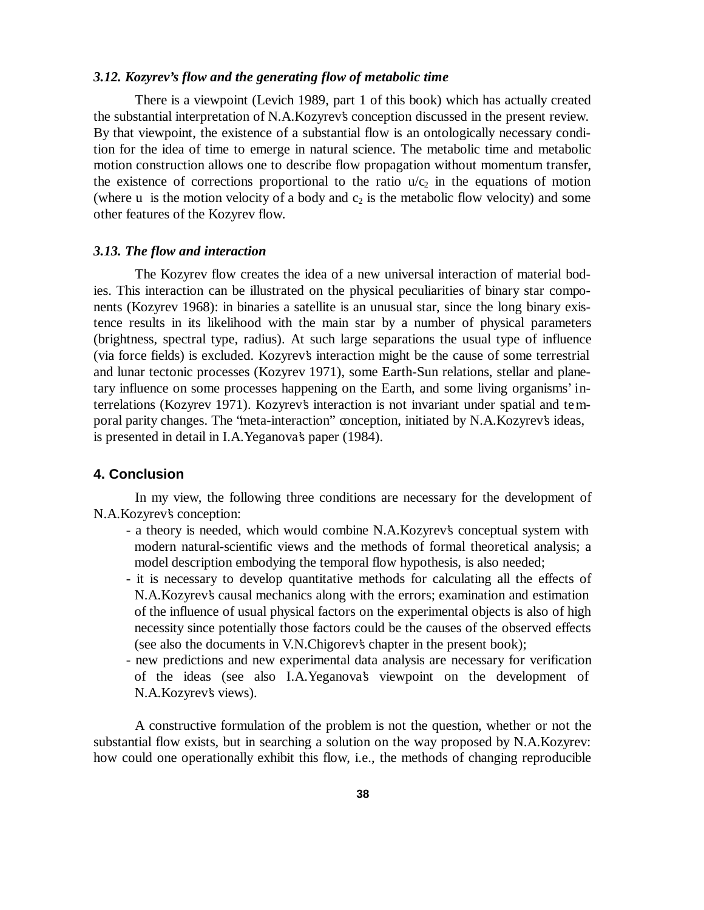# *3.12. Kozyrev's flow and the generating flow of metabolic time*

There is a viewpoint (Levich 1989, part 1 of this book) which has actually created the substantial interpretation of N.A.Kozyrev's conception discussed in the present review. By that viewpoint, the existence of a substantial flow is an ontologically necessary condition for the idea of time to emerge in natural science. The metabolic time and metabolic motion construction allows one to describe flow propagation without momentum transfer, the existence of corrections proportional to the ratio  $u/c<sub>2</sub>$  in the equations of motion (where u is the motion velocity of a body and  $c_2$  is the metabolic flow velocity) and some other features of the Kozyrev flow.

# *3.13. The flow and interaction*

The Kozyrev flow creates the idea of a new universal interaction of material bodies. This interaction can be illustrated on the physical peculiarities of binary star components (Kozyrev 1968): in binaries a satellite is an unusual star, since the long binary existence results in its likelihood with the main star by a number of physical parameters (brightness, spectral type, radius). At such large separations the usual type of influence (via force fields) is excluded. Kozyrev's interaction might be the cause of some terrestrial and lunar tectonic processes (Kozyrev 1971), some Earth-Sun relations, stellar and planetary influence on some processes happening on the Earth, and some living organisms' interrelations (Kozyrev 1971). Kozyrev's interaction is not invariant under spatial and temporal parity changes. The "meta-interaction" conception, initiated by N.A.Kozyrev's ideas, is presented in detail in I.A.Yeganova's paper (1984).

# **4. Conclusion**

In my view, the following three conditions are necessary for the development of N.A.Kozyrev's conception:

- a theory is needed, which would combine N.A.Kozyrev's conceptual system with modern natural-scientific views and the methods of formal theoretical analysis; a model description embodying the temporal flow hypothesis, is also needed;
- it is necessary to develop quantitative methods for calculating all the effects of N.A.Kozyrev's causal mechanics along with the errors; examination and estimation of the influence of usual physical factors on the experimental objects is also of high necessity since potentially those factors could be the causes of the observed effects (see also the documents in V.N.Chigorev's chapter in the present book);
- new predictions and new experimental data analysis are necessary for verification of the ideas (see also I.A.Yeganova's viewpoint on the development of N.A.Kozyrev's views).

A constructive formulation of the problem is not the question, whether or not the substantial flow exists, but in searching a solution on the way proposed by N.A.Kozyrev: how could one operationally exhibit this flow, i.e., the methods of changing reproducible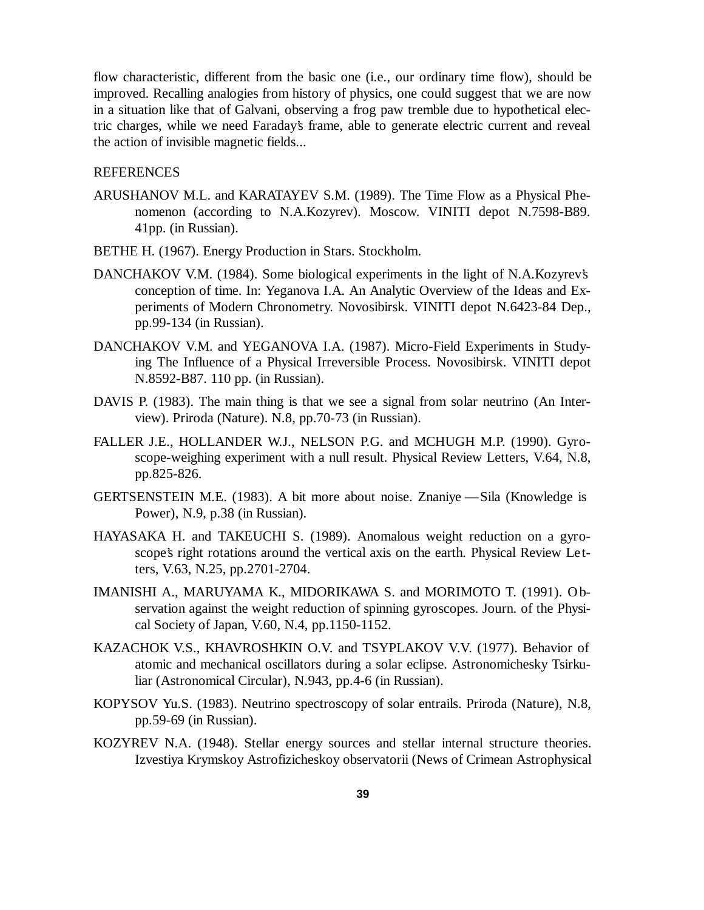flow characteristic, different from the basic one (i.e., our ordinary time flow), should be improved. Recalling analogies from history of physics, one could suggest that we are now in a situation like that of Galvani, observing a frog paw tremble due to hypothetical electric charges, while we need Faraday's frame, able to generate electric current and reveal the action of invisible magnetic fields...

# REFERENCES

- ARUSHANOV M.L. and KARATAYEV S.M. (1989). The Time Flow as a Physical Phenomenon (according to N.A.Kozyrev). Moscow. VINITI depot N.7598-B89. 41pp. (in Russian).
- BETHE H. (1967). Energy Production in Stars. Stockholm.
- DANCHAKOV V.M. (1984). Some biological experiments in the light of N.A.Kozyrev's conception of time. In: Yeganova I.A. An Analytic Overview of the Ideas and Experiments of Modern Chronometry. Novosibirsk. VINITI depot N.6423-84 Dep., pp.99-134 (in Russian).
- DANCHAKOV V.M. and YEGANOVA I.A. (1987). Micro-Field Experiments in Studying The Influence of a Physical Irreversible Process. Novosibirsk. VINITI depot N.8592-B87. 110 pp. (in Russian).
- DAVIS P. (1983). The main thing is that we see a signal from solar neutrino (An Interview). Priroda (Nature). N.8, pp.70-73 (in Russian).
- FALLER J.E., HOLLANDER W.J., NELSON P.G. and MCHUGH M.P. (1990). Gyroscope-weighing experiment with a null result. Physical Review Letters, V.64, N.8, pp.825-826.
- GERTSENSTEIN M.E. (1983). A bit more about noise. Znaniye —Sila (Knowledge is Power), N.9, p.38 (in Russian).
- HAYASAKA H. and TAKEUCHI S. (1989). Anomalous weight reduction on a gyroscope's right rotations around the vertical axis on the earth. Physical Review Letters, V.63, N.25, pp.2701-2704.
- IMANISHI A., MARUYAMA K., MIDORIKAWA S. and MORIMOTO T. (1991). Observation against the weight reduction of spinning gyroscopes. Journ. of the Physical Society of Japan, V.60, N.4, pp.1150-1152.
- KAZACHOK V.S., KHAVROSHKIN O.V. and TSYPLAKOV V.V. (1977). Behavior of atomic and mechanical oscillators during a solar eclipse. Astronomichesky Tsirkuliar (Astronomical Circular), N.943, pp.4-6 (in Russian).
- KOPYSOV Yu.S. (1983). Neutrino spectroscopy of solar entrails. Priroda (Nature), N.8, pp.59-69 (in Russian).
- KOZYREV N.A. (1948). Stellar energy sources and stellar internal structure theories. Izvestiya Krymskoy Astrofizicheskoy observatorii (News of Crimean Astrophysical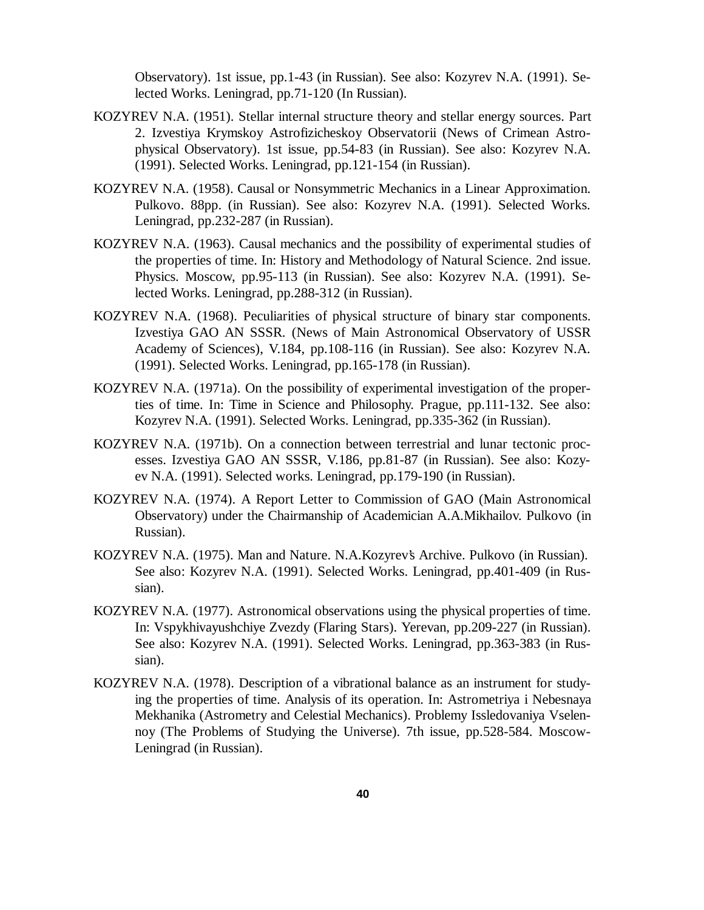Observatory). 1st issue, pp.1-43 (in Russian). See also: Kozyrev N.A. (1991). Selected Works. Leningrad, pp.71-120 (In Russian).

- KOZYREV N.A. (1951). Stellar internal structure theory and stellar energy sources. Part 2. Izvestiya Krymskoy Astrofizicheskoy Observatorii (News of Crimean Astrophysical Observatory). 1st issue, pp.54-83 (in Russian). See also: Kozyrev N.A. (1991). Selected Works. Leningrad, pp.121-154 (in Russian).
- KOZYREV N.A. (1958). Causal or Nonsymmetric Mechanics in a Linear Approximation. Pulkovo. 88pp. (in Russian). See also: Kozyrev N.A. (1991). Selected Works. Leningrad, pp.232-287 (in Russian).
- KOZYREV N.A. (1963). Causal mechanics and the possibility of experimental studies of the properties of time. In: History and Methodology of Natural Science. 2nd issue. Physics. Moscow, pp.95-113 (in Russian). See also: Kozyrev N.A. (1991). Selected Works. Leningrad, pp.288-312 (in Russian).
- KOZYREV N.A. (1968). Peculiarities of physical structure of binary star components. Izvestiya GAO AN SSSR. (News of Main Astronomical Observatory of USSR Academy of Sciences), V.184, pp.108-116 (in Russian). See also: Kozyrev N.A. (1991). Selected Works. Leningrad, pp.165-178 (in Russian).
- KOZYREV N.A. (1971a). On the possibility of experimental investigation of the properties of time. In: Time in Science and Philosophy. Prague, pp.111-132. See also: Kozyrev N.A. (1991). Selected Works. Leningrad, pp.335-362 (in Russian).
- KOZYREV N.A. (1971b). On a connection between terrestrial and lunar tectonic processes. Izvestiya GAO AN SSSR, V.186, pp.81-87 (in Russian). See also: Kozyev N.A. (1991). Selected works. Leningrad, pp.179-190 (in Russian).
- KOZYREV N.A. (1974). A Report Letter to Commission of GAO (Main Astronomical Observatory) under the Chairmanship of Academician A.A.Mikhailov. Pulkovo (in Russian).
- KOZYREV N.A. (1975). Man and Nature. N.A.Kozyrev's Archive. Pulkovo (in Russian). See also: Kozyrev N.A. (1991). Selected Works. Leningrad, pp.401-409 (in Russian).
- KOZYREV N.A. (1977). Astronomical observations using the physical properties of time. In: Vspykhivayushchiye Zvezdy (Flaring Stars). Yerevan, pp.209-227 (in Russian). See also: Kozyrev N.A. (1991). Selected Works. Leningrad, pp.363-383 (in Russian).
- KOZYREV N.A. (1978). Description of a vibrational balance as an instrument for studying the properties of time. Analysis of its operation. In: Astrometriya i Nebesnaya Mekhanika (Astrometry and Celestial Mechanics). Problemy Issledovaniya Vselennoy (The Problems of Studying the Universe). 7th issue, pp.528-584. Moscow-Leningrad (in Russian).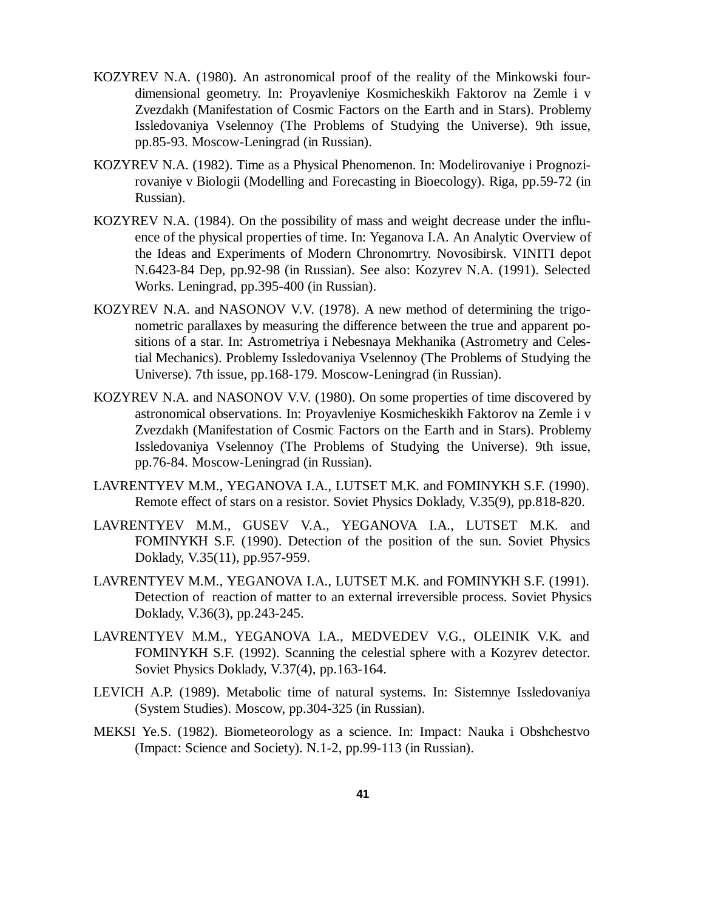- KOZYREV N.A. (1980). An astronomical proof of the reality of the Minkowski fourdimensional geometry. In: Proyavleniye Kosmicheskikh Faktorov na Zemle i v Zvezdakh (Manifestation of Cosmic Factors on the Earth and in Stars). Problemy Issledovaniya Vselennoy (The Problems of Studying the Universe). 9th issue, pp.85-93. Moscow-Leningrad (in Russian).
- KOZYREV N.A. (1982). Time as a Physical Phenomenon. In: Modelirovaniye i Prognozirovaniye v Biologii (Modelling and Forecasting in Bioecology). Riga, pp.59-72 (in Russian).
- KOZYREV N.A. (1984). On the possibility of mass and weight decrease under the influence of the physical properties of time. In: Yeganova I.A. An Analytic Overview of the Ideas and Experiments of Modern Chronomrtry. Novosibirsk. VINITI depot N.6423-84 Dep, pp.92-98 (in Russian). See also: Kozyrev N.A. (1991). Selected Works. Leningrad, pp.395-400 (in Russian).
- KOZYREV N.A. and NASONOV V.V. (1978). A new method of determining the trigonometric parallaxes by measuring the difference between the true and apparent positions of a star. In: Astrometriya i Nebesnaya Mekhanika (Astrometry and Celestial Mechanics). Problemy Issledovaniya Vselennoy (The Problems of Studying the Universe). 7th issue, pp.168-179. Moscow-Leningrad (in Russian).
- KOZYREV N.A. and NASONOV V.V. (1980). On some properties of time discovered by astronomical observations. In: Proyavleniye Kosmicheskikh Faktorov na Zemle i v Zvezdakh (Manifestation of Cosmic Factors on the Earth and in Stars). Problemy Issledovaniya Vselennoy (The Problems of Studying the Universe). 9th issue, pp.76-84. Moscow-Leningrad (in Russian).
- LAVRENTYEV M.M., YEGANOVA I.A., LUTSET M.K. and FOMINYKH S.F. (1990). Remote effect of stars on a resistor. Soviet Physics Doklady, V.35(9), pp.818-820.
- LAVRENTYEV M.M., GUSEV V.A., YEGANOVA I.A., LUTSET M.K. and FOMINYKH S.F. (1990). Detection of the position of the sun. Soviet Physics Doklady, V.35(11), pp.957-959.
- LAVRENTYEV M.M., YEGANOVA I.A., LUTSET M.K. and FOMINYKH S.F. (1991). Detection of reaction of matter to an external irreversible process. Soviet Physics Doklady, V.36(3), pp.243-245.
- LAVRENTYEV M.M., YEGANOVA I.A., MEDVEDEV V.G., OLEINIK V.K. and FOMINYKH S.F. (1992). Scanning the celestial sphere with a Kozyrev detector. Soviet Physics Doklady, V.37(4), pp.163-164.
- LEVICH A.P. (1989). Metabolic time of natural systems. In: Sistemnye Issledovaniya (System Studies). Moscow, pp.304-325 (in Russian).
- MEKSI Ye.S. (1982). Biometeorology as a science. In: Impact: Nauka i Obshchestvo (Impact: Science and Society). N.1-2, pp.99-113 (in Russian).